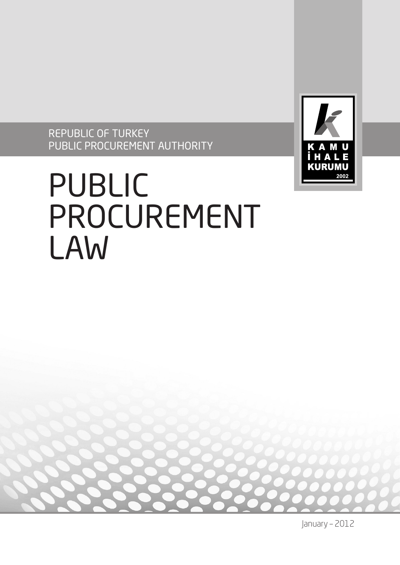REPUBLIC OF TURKEY PUBLIC PROCUREMENT AUTHORITY



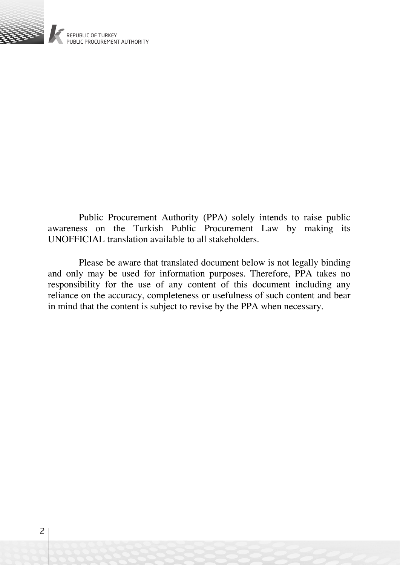

Public Procurement Authority (PPA) solely intends to raise public awareness on the Turkish Public Procurement Law by making its UNOFFICIAL translation available to all stakeholders.

Please be aware that translated document below is not legally binding and only may be used for information purposes. Therefore, PPA takes no responsibility for the use of any content of this document including any reliance on the accuracy, completeness or usefulness of such content and bear in mind that the content is subject to revise by the PPA when necessary.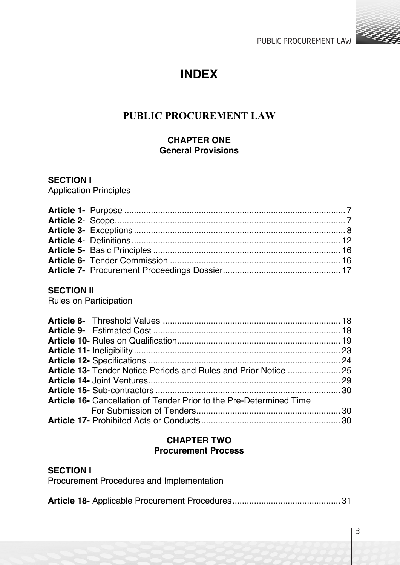

# **INDEX**

# **PUBLIC PROCUREMENT LAW**

#### **CHAPTER ONE General Provisions**

#### **SECTION I**

Application Principles

# **SECTION II**

Rules on Participation

| <b>Article 16-</b> Cancellation of Tender Prior to the Pre-Determined Time |  |
|----------------------------------------------------------------------------|--|
|                                                                            |  |
|                                                                            |  |
|                                                                            |  |

#### **CHAPTER TWO Procurement Process**

### **SECTION I**

| Procurement Procedures and Implementation |  |  |
|-------------------------------------------|--|--|
|-------------------------------------------|--|--|

|--|--|--|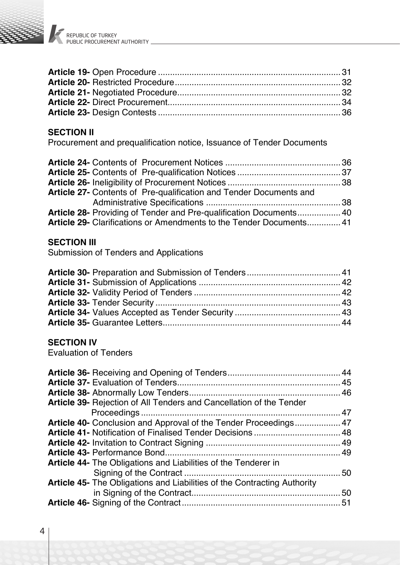

# **SECTION II**

Procurement and prequalification notice, Issuance of Tender Documents

| Article 27- Contents of Pre-qualification and Tender Documents and  |  |
|---------------------------------------------------------------------|--|
|                                                                     |  |
| Article 28- Providing of Tender and Pre-qualification Documents 40  |  |
| Article 29- Clarifications or Amendments to the Tender Documents 41 |  |

#### **SECTION III**

Submission of Tenders and Applications

#### **SECTION IV**

Evaluation of Tenders

| Article 39- Rejection of All Tenders and Cancellation of the Tender             |  |
|---------------------------------------------------------------------------------|--|
|                                                                                 |  |
| <b>Article 40-</b> Conclusion and Approval of the Tender Proceedings 47         |  |
|                                                                                 |  |
|                                                                                 |  |
|                                                                                 |  |
| <b>Article 44-</b> The Obligations and Liabilities of the Tenderer in           |  |
|                                                                                 |  |
| <b>Article 45-</b> The Obligations and Liabilities of the Contracting Authority |  |
|                                                                                 |  |
|                                                                                 |  |
|                                                                                 |  |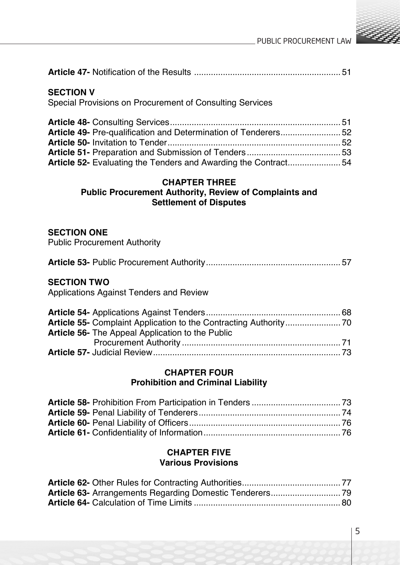

#### **SECTION V**

Special Provisions on Procurement of Consulting Services

| Article 49- Pre-qualification and Determination of Tenderers52 |  |
|----------------------------------------------------------------|--|
|                                                                |  |
|                                                                |  |
| Article 52- Evaluating the Tenders and Awarding the Contract54 |  |

# **CHAPTER THREE**

#### **Public Procurement Authority, Review of Complaints and Settlement of Disputes**

#### **SECTION ONE**

Public Procurement Authority

|--|--|--|

#### **SECTION TWO**

Applications Against Tenders and Review

| <b>Article 56-</b> The Appeal Application to the Public |  |
|---------------------------------------------------------|--|
|                                                         |  |
|                                                         |  |

### **CHAPTER FOUR Prohibition and Criminal Liability**

#### **CHAPTER FIVE Various Provisions**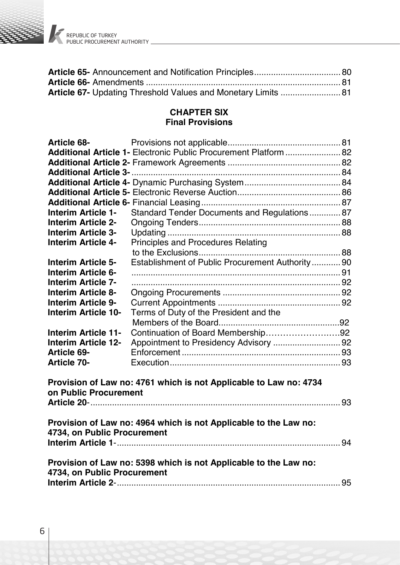

REPUBLIC OF TURKEY PUBLIC PROCUREMENT AUTHORITY

#### **CHAPTER SIX Final Provisions**

| <b>Article 68-</b>          |                                                                   |  |
|-----------------------------|-------------------------------------------------------------------|--|
|                             | Additional Article 1- Electronic Public Procurement Platform  82  |  |
|                             |                                                                   |  |
|                             |                                                                   |  |
|                             |                                                                   |  |
|                             |                                                                   |  |
|                             |                                                                   |  |
| Interim Article 1-          | Standard Tender Documents and Regulations87                       |  |
| Interim Article 2-          |                                                                   |  |
| Interim Article 3-          |                                                                   |  |
| Interim Article 4-          | Principles and Procedures Relating                                |  |
|                             |                                                                   |  |
| Interim Article 5-          | Establishment of Public Procurement Authority 90                  |  |
| Interim Article 6-          |                                                                   |  |
| Interim Article 7-          |                                                                   |  |
| Interim Article 8-          |                                                                   |  |
| Interim Article 9-          |                                                                   |  |
| Interim Article 10-         | Terms of Duty of the President and the                            |  |
|                             |                                                                   |  |
| Interim Article 11-         | Continuation of Board Membership92                                |  |
| Interim Article 12-         | Appointment to Presidency Advisory  92                            |  |
| <b>Article 69-</b>          |                                                                   |  |
| <b>Article 70-</b>          |                                                                   |  |
| on Public Procurement       | Provision of Law no: 4761 which is not Applicable to Law no: 4734 |  |
|                             |                                                                   |  |
|                             | Provision of Law no: 4964 which is not Applicable to the Law no:  |  |
| 4734, on Public Procurement |                                                                   |  |
|                             |                                                                   |  |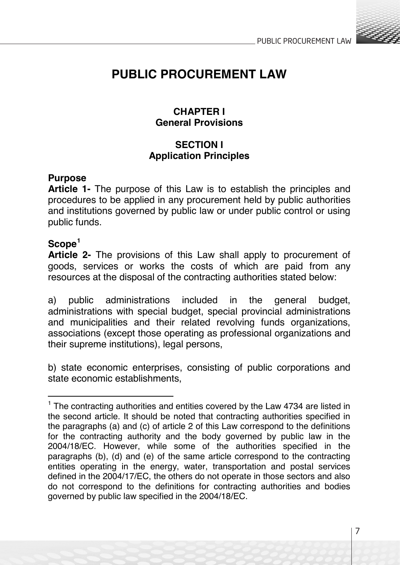

# **PUBLIC PROCUREMENT LAW**

# **CHAPTER I General Provisions**

# **SECTION I Application Principles**

# **Purpose**

**Article 1-** The purpose of this Law is to establish the principles and procedures to be applied in any procurement held by public authorities and institutions governed by public law or under public control or using public funds.

# **Scope<sup>1</sup>**

**Article 2-** The provisions of this Law shall apply to procurement of goods, services or works the costs of which are paid from any resources at the disposal of the contracting authorities stated below:

a) public administrations included in the general budget, administrations with special budget, special provincial administrations and municipalities and their related revolving funds organizations, associations (except those operating as professional organizations and their supreme institutions), legal persons,

b) state economic enterprises, consisting of public corporations and state economic establishments,

 $1$  The contracting authorities and entities covered by the Law 4734 are listed in the second article. It should be noted that contracting authorities specified in the paragraphs (a) and (c) of article 2 of this Law correspond to the definitions for the contracting authority and the body governed by public law in the 2004/18/EC. However, while some of the authorities specified in the paragraphs (b), (d) and (e) of the same article correspond to the contracting entities operating in the energy, water, transportation and postal services defined in the 2004/17/EC, the others do not operate in those sectors and also do not correspond to the definitions for contracting authorities and bodies governed by public law specified in the 2004/18/EC.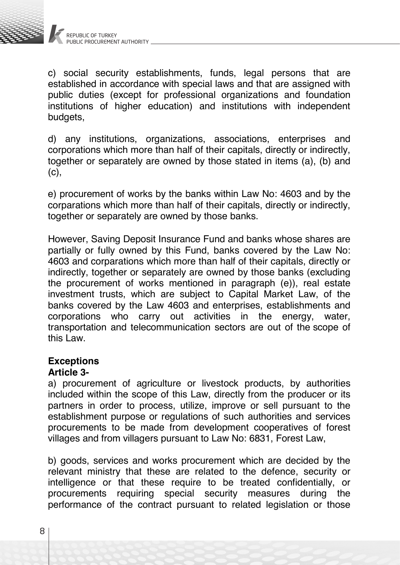

c) social security establishments, funds, legal persons that are established in accordance with special laws and that are assigned with public duties (except for professional organizations and foundation institutions of higher education) and institutions with independent budgets,

d) any institutions, organizations, associations, enterprises and corporations which more than half of their capitals, directly or indirectly, together or separately are owned by those stated in items (a), (b) and  $(c)$ .

e) procurement of works by the banks within Law No: 4603 and by the corparations which more than half of their capitals, directly or indirectly, together or separately are owned by those banks.

However, Saving Deposit Insurance Fund and banks whose shares are partially or fully owned by this Fund, banks covered by the Law No: 4603 and corparations which more than half of their capitals, directly or indirectly, together or separately are owned by those banks (excluding the procurement of works mentioned in paragraph (e)), real estate investment trusts, which are subject to Capital Market Law, of the banks covered by the Law 4603 and enterprises, establishments and corporations who carry out activities in the energy, water, transportation and telecommunication sectors are out of the scope of this Law.

#### **Exceptions**

# **Article 3-**

a) procurement of agriculture or livestock products, by authorities included within the scope of this Law, directly from the producer or its partners in order to process, utilize, improve or sell pursuant to the establishment purpose or regulations of such authorities and services procurements to be made from development cooperatives of forest villages and from villagers pursuant to Law No: 6831, Forest Law,

b) goods, services and works procurement which are decided by the relevant ministry that these are related to the defence, security or intelligence or that these require to be treated confidentially, or procurements requiring special security measures during the performance of the contract pursuant to related legislation or those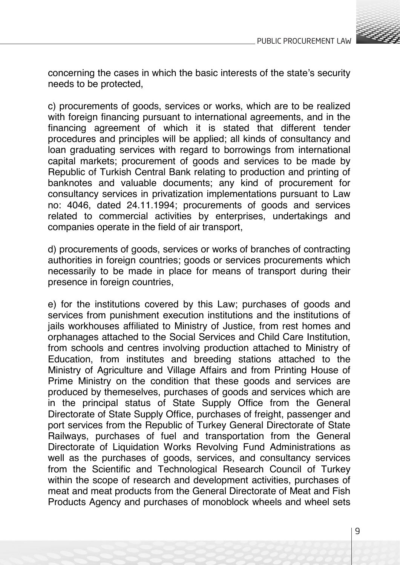

concerning the cases in which the basic interests of the state's security needs to be protected,

c) procurements of goods, services or works, which are to be realized with foreign financing pursuant to international agreements, and in the financing agreement of which it is stated that different tender procedures and principles will be applied; all kinds of consultancy and loan graduating services with regard to borrowings from international capital markets; procurement of goods and services to be made by Republic of Turkish Central Bank relating to production and printing of banknotes and valuable documents; any kind of procurement for consultancy services in privatization implementations pursuant to Law no: 4046, dated 24.11.1994; procurements of goods and services related to commercial activities by enterprises, undertakings and companies operate in the field of air transport,

d) procurements of goods, services or works of branches of contracting authorities in foreign countries; goods or services procurements which necessarily to be made in place for means of transport during their presence in foreign countries.

e) for the institutions covered by this Law; purchases of goods and services from punishment execution institutions and the institutions of jails workhouses affiliated to Ministry of Justice, from rest homes and orphanages attached to the Social Services and Child Care Institution, from schools and centres involving production attached to Ministry of Education, from institutes and breeding stations attached to the Ministry of Agriculture and Village Affairs and from Printing House of Prime Ministry on the condition that these goods and services are produced by themeselves, purchases of goods and services which are in the principal status of State Supply Office from the General Directorate of State Supply Office, purchases of freight, passenger and port services from the Republic of Turkey General Directorate of State Railways, purchases of fuel and transportation from the General Directorate of Liquidation Works Revolving Fund Administrations as well as the purchases of goods, services, and consultancy services from the Scientific and Technological Research Council of Turkey within the scope of research and development activities, purchases of meat and meat products from the General Directorate of Meat and Fish Products Agency and purchases of monoblock wheels and wheel sets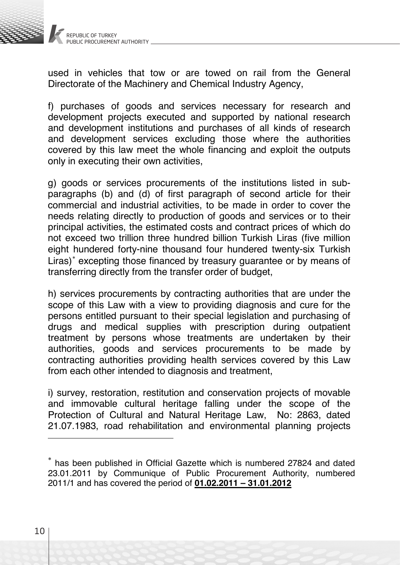

used in vehicles that tow or are towed on rail from the General Directorate of the Machinery and Chemical Industry Agency,

f) purchases of goods and services necessary for research and development projects executed and supported by national research and development institutions and purchases of all kinds of research and development services excluding those where the authorities covered by this law meet the whole financing and exploit the outputs only in executing their own activities,

g) goods or services procurements of the institutions listed in subparagraphs (b) and (d) of first paragraph of second article for their commercial and industrial activities, to be made in order to cover the needs relating directly to production of goods and services or to their principal activities, the estimated costs and contract prices of which do not exceed two trillion three hundred billion Turkish Liras (five million eight hundered forty-nine thousand four hundered twenty-six Turkish Liras)<sup>\*</sup> excepting those financed by treasury guarantee or by means of transferring directly from the transfer order of budget,

h) services procurements by contracting authorities that are under the scope of this Law with a view to providing diagnosis and cure for the persons entitled pursuant to their special legislation and purchasing of drugs and medical supplies with prescription during outpatient treatment by persons whose treatments are undertaken by their authorities, goods and services procurements to be made by contracting authorities providing health services covered by this Law from each other intended to diagnosis and treatment,

i) survey, restoration, restitution and conservation projects of movable and immovable cultural heritage falling under the scope of the Protection of Cultural and Natural Heritage Law, No: 2863, dated 21.07.1983, road rehabilitation and environmental planning projects

<sup>∗</sup> has been published in Official Gazette which is numbered 27824 and dated 23.01.2011 by Communique of Public Procurement Authority, numbered 2011/1 and has covered the period of **01.02.2011 – 31.01.2012**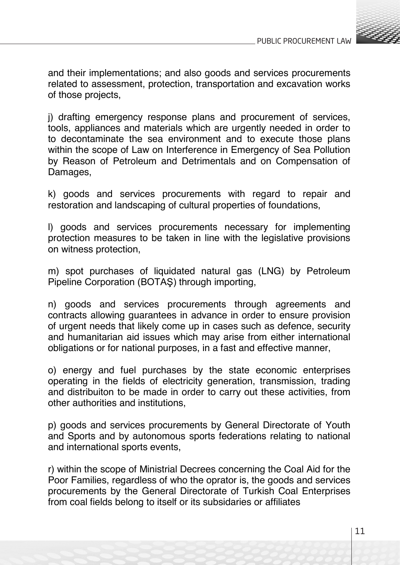

and their implementations; and also goods and services procurements related to assessment, protection, transportation and excavation works of those projects,

j) drafting emergency response plans and procurement of services, tools, appliances and materials which are urgently needed in order to to decontaminate the sea environment and to execute those plans within the scope of Law on Interference in Emergency of Sea Pollution by Reason of Petroleum and Detrimentals and on Compensation of Damages,

k) goods and services procurements with regard to repair and restoration and landscaping of cultural properties of foundations,

l) goods and services procurements necessary for implementing protection measures to be taken in line with the legislative provisions on witness protection,

m) spot purchases of liquidated natural gas (LNG) by Petroleum Pipeline Corporation (BOTAŞ) through importing,

n) goods and services procurements through agreements and contracts allowing guarantees in advance in order to ensure provision of urgent needs that likely come up in cases such as defence, security and humanitarian aid issues which may arise from either international obligations or for national purposes, in a fast and effective manner,

o) energy and fuel purchases by the state economic enterprises operating in the fields of electricity generation, transmission, trading and distribuiton to be made in order to carry out these activities, from other authorities and institutions,

p) goods and services procurements by General Directorate of Youth and Sports and by autonomous sports federations relating to national and international sports events,

r) within the scope of Ministrial Decrees concerning the Coal Aid for the Poor Families, regardless of who the oprator is, the goods and services procurements by the General Directorate of Turkish Coal Enterprises from coal fields belong to itself or its subsidaries or affiliates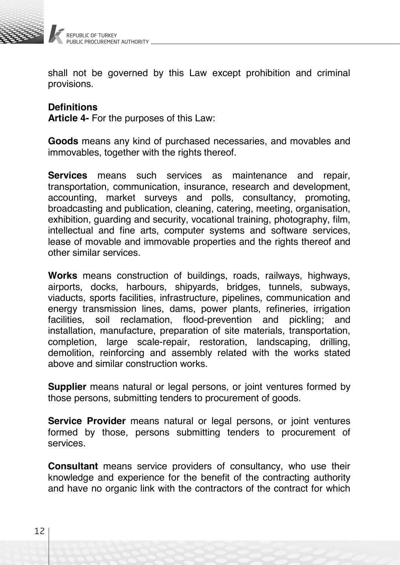

shall not be governed by this Law except prohibition and criminal provisions.

# **Definitions**

**Article 4-** For the purposes of this Law:

**Goods** means any kind of purchased necessaries, and movables and immovables, together with the rights thereof.

**Services** means such services as maintenance and repair, transportation, communication, insurance, research and development, accounting, market surveys and polls, consultancy, promoting, broadcasting and publication, cleaning, catering, meeting, organisation, exhibition, guarding and security, vocational training, photography, film, intellectual and fine arts, computer systems and software services, lease of movable and immovable properties and the rights thereof and other similar services.

**Works** means construction of buildings, roads, railways, highways, airports, docks, harbours, shipyards, bridges, tunnels, subways, viaducts, sports facilities, infrastructure, pipelines, communication and energy transmission lines, dams, power plants, refineries, irrigation<br>facilities soil reclamation flood-prevention and pickling: and soil reclamation, flood-prevention and pickling; and installation, manufacture, preparation of site materials, transportation, completion, large scale-repair, restoration, landscaping, drilling, demolition, reinforcing and assembly related with the works stated above and similar construction works.

**Supplier** means natural or legal persons, or joint ventures formed by those persons, submitting tenders to procurement of goods.

**Service Provider** means natural or legal persons, or joint ventures formed by those, persons submitting tenders to procurement of services.

**Consultant** means service providers of consultancy, who use their knowledge and experience for the benefit of the contracting authority and have no organic link with the contractors of the contract for which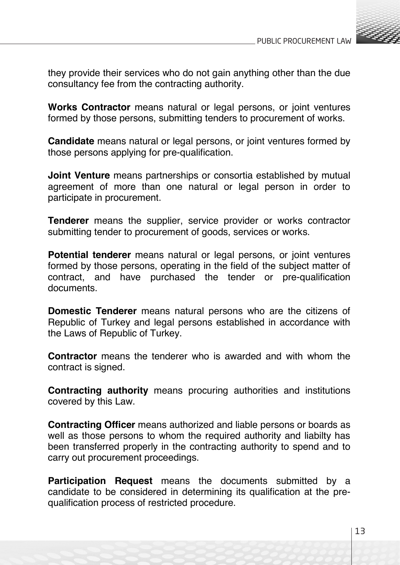

they provide their services who do not gain anything other than the due consultancy fee from the contracting authority.

**Works Contractor** means natural or legal persons, or joint ventures formed by those persons, submitting tenders to procurement of works.

**Candidate** means natural or legal persons, or joint ventures formed by those persons applying for pre-qualification.

**Joint Venture** means partnerships or consortia established by mutual agreement of more than one natural or legal person in order to participate in procurement.

**Tenderer** means the supplier, service provider or works contractor submitting tender to procurement of goods, services or works.

**Potential tenderer** means natural or legal persons, or joint ventures formed by those persons, operating in the field of the subject matter of contract, and have purchased the tender or pre-qualification documents.

**Domestic Tenderer** means natural persons who are the citizens of Republic of Turkey and legal persons established in accordance with the Laws of Republic of Turkey.

**Contractor** means the tenderer who is awarded and with whom the contract is signed.

**Contracting authority** means procuring authorities and institutions covered by this Law.

**Contracting Officer** means authorized and liable persons or boards as well as those persons to whom the required authority and liabilty has been transferred properly in the contracting authority to spend and to carry out procurement proceedings.

**Participation Request** means the documents submitted by a candidate to be considered in determining its qualification at the prequalification process of restricted procedure.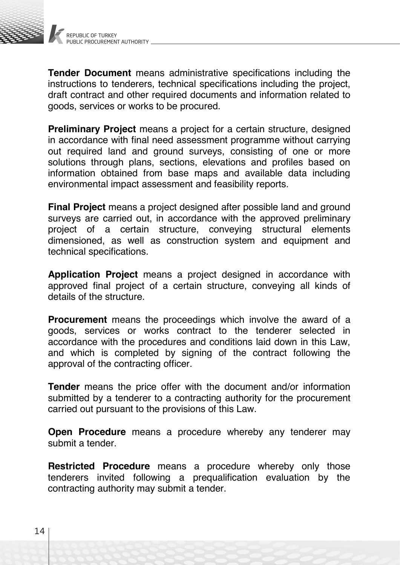

**Tender Document** means administrative specifications including the instructions to tenderers, technical specifications including the project, draft contract and other required documents and information related to goods, services or works to be procured.

**Preliminary Project** means a project for a certain structure, designed in accordance with final need assessment programme without carrying out required land and ground surveys, consisting of one or more solutions through plans, sections, elevations and profiles based on information obtained from base maps and available data including environmental impact assessment and feasibility reports.

**Final Project** means a project designed after possible land and ground surveys are carried out, in accordance with the approved preliminary project of a certain structure, conveying structural elements dimensioned, as well as construction system and equipment and technical specifications.

**Application Project** means a project designed in accordance with approved final project of a certain structure, conveying all kinds of details of the structure.

**Procurement** means the proceedings which involve the award of a goods, services or works contract to the tenderer selected in accordance with the procedures and conditions laid down in this Law, and which is completed by signing of the contract following the approval of the contracting officer.

**Tender** means the price offer with the document and/or information submitted by a tenderer to a contracting authority for the procurement carried out pursuant to the provisions of this Law.

**Open Procedure** means a procedure whereby any tenderer may submit a tender.

**Restricted Procedure** means a procedure whereby only those tenderers invited following a prequalification evaluation by the contracting authority may submit a tender.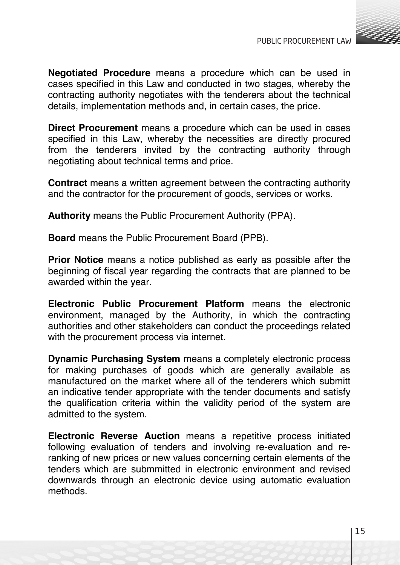

**Negotiated Procedure** means a procedure which can be used in cases specified in this Law and conducted in two stages, whereby the contracting authority negotiates with the tenderers about the technical details, implementation methods and, in certain cases, the price.

**Direct Procurement** means a procedure which can be used in cases specified in this Law, whereby the necessities are directly procured from the tenderers invited by the contracting authority through negotiating about technical terms and price.

**Contract** means a written agreement between the contracting authority and the contractor for the procurement of goods, services or works.

**Authority** means the Public Procurement Authority (PPA).

**Board** means the Public Procurement Board (PPB).

**Prior Notice** means a notice published as early as possible after the beginning of fiscal year regarding the contracts that are planned to be awarded within the year.

**Electronic Public Procurement Platform** means the electronic environment, managed by the Authority, in which the contracting authorities and other stakeholders can conduct the proceedings related with the procurement process via internet.

**Dynamic Purchasing System** means a completely electronic process for making purchases of goods which are generally available as manufactured on the market where all of the tenderers which submitt an indicative tender appropriate with the tender documents and satisfy the qualification criteria within the validity period of the system are admitted to the system.

**Electronic Reverse Auction** means a repetitive process initiated following evaluation of tenders and involving re-evaluation and reranking of new prices or new values concerning certain elements of the tenders which are submmitted in electronic environment and revised downwards through an electronic device using automatic evaluation methods.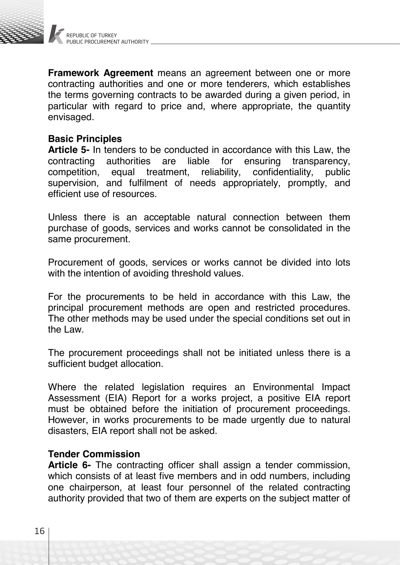

**Framework Agreement** means an agreement between one or more contracting authorities and one or more tenderers, which establishes the terms governing contracts to be awarded during a given period, in particular with regard to price and, where appropriate, the quantity envisaged.

#### **Basic Principles**

**Article 5-** In tenders to be conducted in accordance with this Law, the contracting authorities are liable for ensuring transparency. contracting authorities are liable for ensuring transparency, confidentiality, public supervision, and fulfilment of needs appropriately, promptly, and efficient use of resources.

Unless there is an acceptable natural connection between them purchase of goods, services and works cannot be consolidated in the same procurement.

Procurement of goods, services or works cannot be divided into lots with the intention of avoiding threshold values.

For the procurements to be held in accordance with this Law, the principal procurement methods are open and restricted procedures. The other methods may be used under the special conditions set out in the Law.

The procurement proceedings shall not be initiated unless there is a sufficient budget allocation.

Where the related legislation requires an Environmental Impact Assessment (EIA) Report for a works project, a positive EIA report must be obtained before the initiation of procurement proceedings. However, in works procurements to be made urgently due to natural disasters, EIA report shall not be asked.

#### **Tender Commission**

**Article 6-** The contracting officer shall assign a tender commission, which consists of at least five members and in odd numbers, including one chairperson, at least four personnel of the related contracting authority provided that two of them are experts on the subject matter of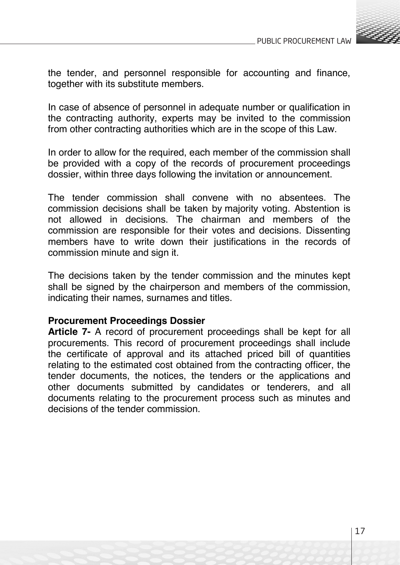

the tender, and personnel responsible for accounting and finance, together with its substitute members.

In case of absence of personnel in adequate number or qualification in the contracting authority, experts may be invited to the commission from other contracting authorities which are in the scope of this Law.

In order to allow for the required, each member of the commission shall be provided with a copy of the records of procurement proceedings dossier, within three days following the invitation or announcement.

The tender commission shall convene with no absentees. The commission decisions shall be taken by majority voting. Abstention is not allowed in decisions. The chairman and members of the commission are responsible for their votes and decisions. Dissenting members have to write down their justifications in the records of commission minute and sign it.

The decisions taken by the tender commission and the minutes kept shall be signed by the chairperson and members of the commission. indicating their names, surnames and titles.

#### **Procurement Proceedings Dossier**

**Article 7-** A record of procurement proceedings shall be kept for all procurements. This record of procurement proceedings shall include the certificate of approval and its attached priced bill of quantities relating to the estimated cost obtained from the contracting officer, the tender documents, the notices, the tenders or the applications and other documents submitted by candidates or tenderers, and all documents relating to the procurement process such as minutes and decisions of the tender commission.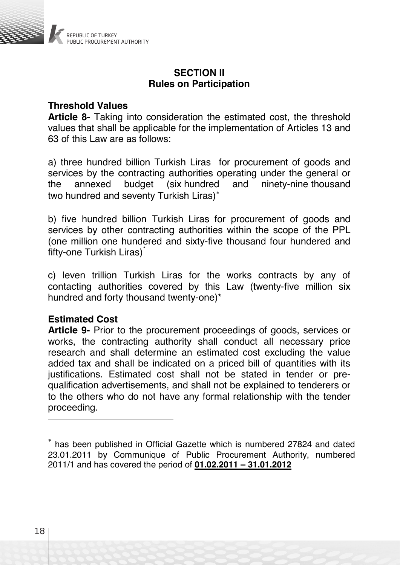

### **SECTION II Rules on Participation**

# **Threshold Values**

**Article 8-** Taking into consideration the estimated cost, the threshold values that shall be applicable for the implementation of Articles 13 and 63 of this Law are as follows:

a) three hundred billion Turkish Liras for procurement of goods and services by the contracting authorities operating under the general or<br>the annexed budget (six hundred and ninety-nine thousand the annexed budget (six hundred and ninety-nine thousand two hundred and seventy Turkish Liras)<sup>∗</sup>

b) five hundred billion Turkish Liras for procurement of goods and services by other contracting authorities within the scope of the PPL (one million one hundered and sixty-five thousand four hundered and fifty-one Turkish Liras)<sup>\*</sup>

c) leven trillion Turkish Liras for the works contracts by any of contacting authorities covered by this Law (twenty-five million six hundred and forty thousand twenty-one)\*

#### **Estimated Cost**

**Article 9-** Prior to the procurement proceedings of goods, services or works, the contracting authority shall conduct all necessary price research and shall determine an estimated cost excluding the value added tax and shall be indicated on a priced bill of quantities with its justifications. Estimated cost shall not be stated in tender or prequalification advertisements, and shall not be explained to tenderers or to the others who do not have any formal relationship with the tender proceeding.

<sup>∗</sup> has been published in Official Gazette which is numbered 27824 and dated 23.01.2011 by Communique of Public Procurement Authority, numbered 2011/1 and has covered the period of **01.02.2011 – 31.01.2012**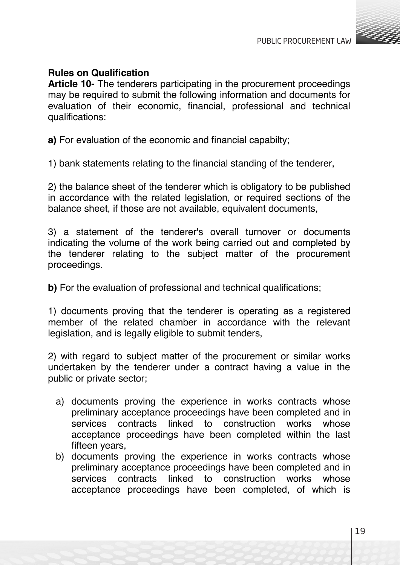

# **Rules on Qualification**

**Article 10-** The tenderers participating in the procurement proceedings may be required to submit the following information and documents for evaluation of their economic, financial, professional and technical qualifications:

**a)** For evaluation of the economic and financial capabilty;

1) bank statements relating to the financial standing of the tenderer,

2) the balance sheet of the tenderer which is obligatory to be published in accordance with the related legislation, or required sections of the balance sheet, if those are not available, equivalent documents,

3) a statement of the tenderer's overall turnover or documents indicating the volume of the work being carried out and completed by the tenderer relating to the subject matter of the procurement proceedings.

**b)** For the evaluation of professional and technical qualifications;

1) documents proving that the tenderer is operating as a registered member of the related chamber in accordance with the relevant legislation, and is legally eligible to submit tenders,

2) with regard to subject matter of the procurement or similar works undertaken by the tenderer under a contract having a value in the public or private sector;

- a) documents proving the experience in works contracts whose preliminary acceptance proceedings have been completed and in services contracts linked to construction works whose acceptance proceedings have been completed within the last fifteen years,
- b) documents proving the experience in works contracts whose preliminary acceptance proceedings have been completed and in services contracts linked to construction works whose acceptance proceedings have been completed, of which is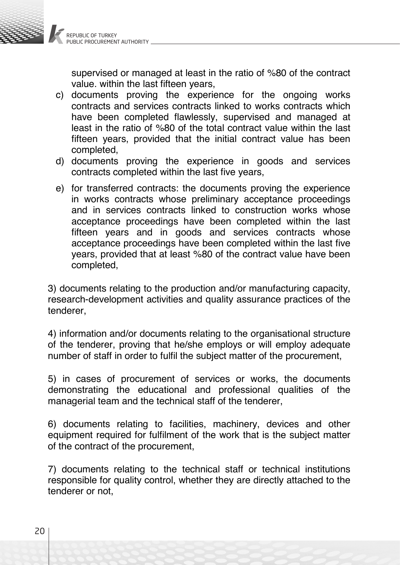

supervised or managed at least in the ratio of %80 of the contract value. within the last fifteen years,

- c) documents proving the experience for the ongoing works contracts and services contracts linked to works contracts which have been completed flawlessly, supervised and managed at least in the ratio of %80 of the total contract value within the last fifteen years, provided that the initial contract value has been completed,
- d) documents proving the experience in goods and services contracts completed within the last five years,
- e) for transferred contracts: the documents proving the experience in works contracts whose preliminary acceptance proceedings and in services contracts linked to construction works whose acceptance proceedings have been completed within the last fifteen years and in goods and services contracts whose acceptance proceedings have been completed within the last five years, provided that at least %80 of the contract value have been completed,

3) documents relating to the production and/or manufacturing capacity, research-development activities and quality assurance practices of the tenderer,

4) information and/or documents relating to the organisational structure of the tenderer, proving that he/she employs or will employ adequate number of staff in order to fulfil the subject matter of the procurement,

5) in cases of procurement of services or works, the documents demonstrating the educational and professional qualities of the managerial team and the technical staff of the tenderer,

6) documents relating to facilities, machinery, devices and other equipment required for fulfilment of the work that is the subject matter of the contract of the procurement,

7) documents relating to the technical staff or technical institutions responsible for quality control, whether they are directly attached to the tenderer or not,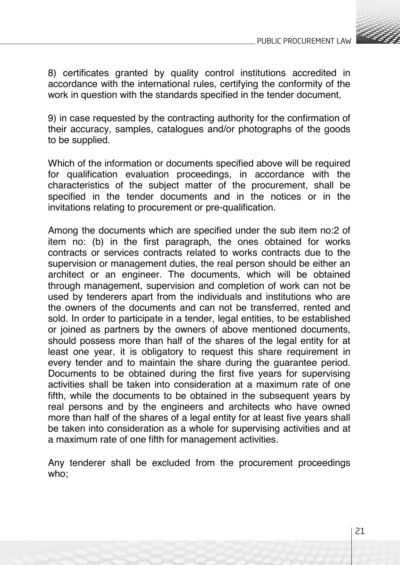

8) certificates granted by quality control institutions accredited in accordance with the international rules, certifying the conformity of the work in question with the standards specified in the tender document.

9) in case requested by the contracting authority for the confirmation of their accuracy, samples, catalogues and/or photographs of the goods to be supplied.

Which of the information or documents specified above will be required for qualification evaluation proceedings, in accordance with the characteristics of the subject matter of the procurement, shall be specified in the tender documents and in the notices or in the invitations relating to procurement or pre-qualification.

Among the documents which are specified under the sub item no:2 of item no: (b) in the first paragraph, the ones obtained for works contracts or services contracts related to works contracts due to the supervision or management duties, the real person should be either an architect or an engineer. The documents, which will be obtained through management, supervision and completion of work can not be used by tenderers apart from the individuals and institutions who are the owners of the documents and can not be transferred, rented and sold. In order to participate in a tender, legal entities, to be established or joined as partners by the owners of above mentioned documents, should possess more than half of the shares of the legal entity for at least one year, it is obligatory to request this share requirement in every tender and to maintain the share during the guarantee period. Documents to be obtained during the first five years for supervising activities shall be taken into consideration at a maximum rate of one fifth, while the documents to be obtained in the subsequent years by real persons and by the engineers and architects who have owned more than half of the shares of a legal entity for at least five years shall be taken into consideration as a whole for supervising activities and at a maximum rate of one fifth for management activities.

Any tenderer shall be excluded from the procurement proceedings who;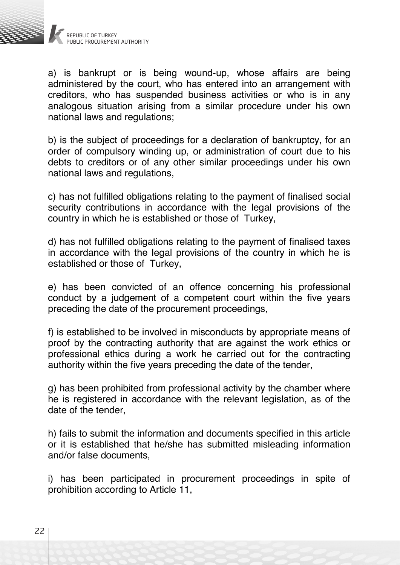

a) is bankrupt or is being wound-up, whose affairs are being administered by the court, who has entered into an arrangement with creditors, who has suspended business activities or who is in any analogous situation arising from a similar procedure under his own national laws and regulations;

b) is the subject of proceedings for a declaration of bankruptcy, for an order of compulsory winding up, or administration of court due to his debts to creditors or of any other similar proceedings under his own national laws and regulations,

c) has not fulfilled obligations relating to the payment of finalised social security contributions in accordance with the legal provisions of the country in which he is established or those of Turkey,

d) has not fulfilled obligations relating to the payment of finalised taxes in accordance with the legal provisions of the country in which he is established or those of Turkey,

e) has been convicted of an offence concerning his professional conduct by a judgement of a competent court within the five years preceding the date of the procurement proceedings,

f) is established to be involved in misconducts by appropriate means of proof by the contracting authority that are against the work ethics or professional ethics during a work he carried out for the contracting authority within the five years preceding the date of the tender,

g) has been prohibited from professional activity by the chamber where he is registered in accordance with the relevant legislation, as of the date of the tender

h) fails to submit the information and documents specified in this article or it is established that he/she has submitted misleading information and/or false documents,

i) has been participated in procurement proceedings in spite of prohibition according to Article 11,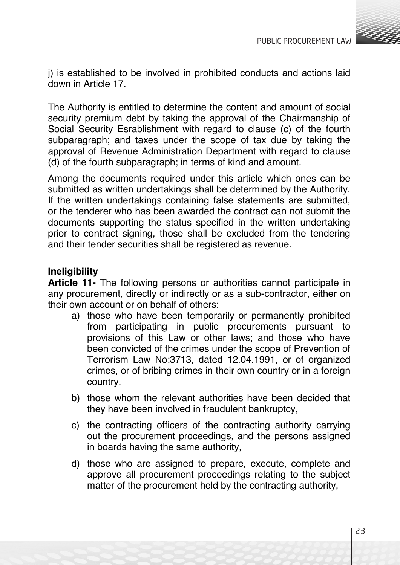

j) is established to be involved in prohibited conducts and actions laid down in Article 17.

The Authority is entitled to determine the content and amount of social security premium debt by taking the approval of the Chairmanship of Social Security Esrablishment with regard to clause (c) of the fourth subparagraph; and taxes under the scope of tax due by taking the approval of Revenue Administration Department with regard to clause (d) of the fourth subparagraph; in terms of kind and amount.

Among the documents required under this article which ones can be submitted as written undertakings shall be determined by the Authority. If the written undertakings containing false statements are submitted, or the tenderer who has been awarded the contract can not submit the documents supporting the status specified in the written undertaking prior to contract signing, those shall be excluded from the tendering and their tender securities shall be registered as revenue.

# **Ineligibility**

**Article 11-** The following persons or authorities cannot participate in any procurement, directly or indirectly or as a sub-contractor, either on their own account or on behalf of others:

- a) those who have been temporarily or permanently prohibited from participating in public procurements pursuant to provisions of this Law or other laws; and those who have been convicted of the crimes under the scope of Prevention of Terrorism Law No:3713, dated 12.04.1991, or of organized crimes, or of bribing crimes in their own country or in a foreign country.
- b) those whom the relevant authorities have been decided that they have been involved in fraudulent bankruptcy,
- c) the contracting officers of the contracting authority carrying out the procurement proceedings, and the persons assigned in boards having the same authority,
- d) those who are assigned to prepare, execute, complete and approve all procurement proceedings relating to the subject matter of the procurement held by the contracting authority,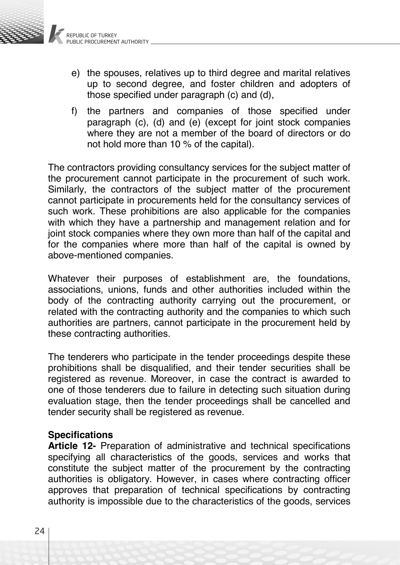

- e) the spouses, relatives up to third degree and marital relatives up to second degree, and foster children and adopters of those specified under paragraph (c) and (d),
- f) the partners and companies of those specified under paragraph (c), (d) and (e) (except for joint stock companies where they are not a member of the board of directors or do not hold more than 10 % of the capital).

The contractors providing consultancy services for the subject matter of the procurement cannot participate in the procurement of such work. Similarly, the contractors of the subject matter of the procurement cannot participate in procurements held for the consultancy services of such work. These prohibitions are also applicable for the companies with which they have a partnership and management relation and for joint stock companies where they own more than half of the capital and for the companies where more than half of the capital is owned by above-mentioned companies.

Whatever their purposes of establishment are, the foundations, associations, unions, funds and other authorities included within the body of the contracting authority carrying out the procurement, or related with the contracting authority and the companies to which such authorities are partners, cannot participate in the procurement held by these contracting authorities.

The tenderers who participate in the tender proceedings despite these prohibitions shall be disqualified, and their tender securities shall be registered as revenue. Moreover, in case the contract is awarded to one of those tenderers due to failure in detecting such situation during evaluation stage, then the tender proceedings shall be cancelled and tender security shall be registered as revenue.

### **Specifications**

**Article 12-** Preparation of administrative and technical specifications specifying all characteristics of the goods, services and works that constitute the subject matter of the procurement by the contracting authorities is obligatory. However, in cases where contracting officer approves that preparation of technical specifications by contracting authority is impossible due to the characteristics of the goods, services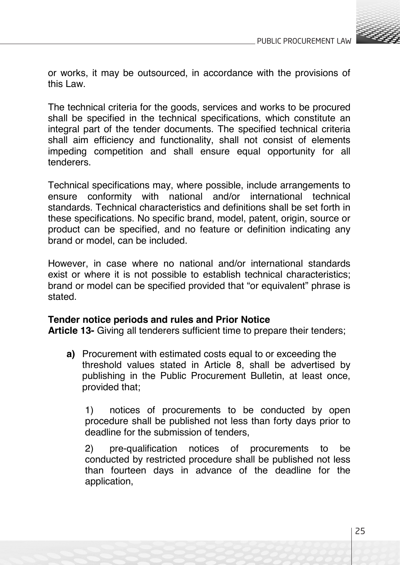

or works, it may be outsourced, in accordance with the provisions of this Law.

The technical criteria for the goods, services and works to be procured shall be specified in the technical specifications, which constitute an integral part of the tender documents. The specified technical criteria shall aim efficiency and functionality, shall not consist of elements impeding competition and shall ensure equal opportunity for all tenderers.

Technical specifications may, where possible, include arrangements to ensure conformity with national and/or international technical standards. Technical characteristics and definitions shall be set forth in these specifications. No specific brand, model, patent, origin, source or product can be specified, and no feature or definition indicating any brand or model, can be included.

However, in case where no national and/or international standards exist or where it is not possible to establish technical characteristics; brand or model can be specified provided that "or equivalent" phrase is stated.

#### **Tender notice periods and rules and Prior Notice**

**Article 13-** Giving all tenderers sufficient time to prepare their tenders;

**a)** Procurement with estimated costs equal to or exceeding the threshold values stated in Article 8, shall be advertised by publishing in the Public Procurement Bulletin, at least once, provided that;

1) notices of procurements to be conducted by open procedure shall be published not less than forty days prior to deadline for the submission of tenders,

2) pre-qualification notices of procurements to be conducted by restricted procedure shall be published not less than fourteen days in advance of the deadline for the application,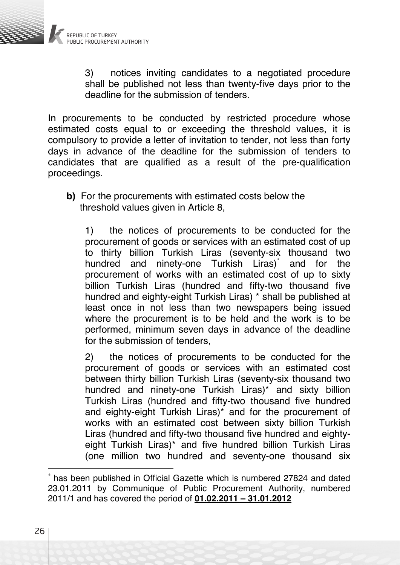

3) notices inviting candidates to a negotiated procedure shall be published not less than twenty-five days prior to the deadline for the submission of tenders.

In procurements to be conducted by restricted procedure whose estimated costs equal to or exceeding the threshold values, it is compulsory to provide a letter of invitation to tender, not less than forty days in advance of the deadline for the submission of tenders to candidates that are qualified as a result of the pre-qualification proceedings.

**b)** For the procurements with estimated costs below the threshold values given in Article 8,

1) the notices of procurements to be conducted for the procurement of goods or services with an estimated cost of up to thirty billion Turkish Liras (seventy-six thousand two hundred and ninety-one Turkish Liras)<sup>\*</sup> and for the procurement of works with an estimated cost of up to sixty billion Turkish Liras (hundred and fifty-two thousand five hundred and eighty-eight Turkish Liras) \* shall be published at least once in not less than two newspapers being issued where the procurement is to be held and the work is to be performed, minimum seven days in advance of the deadline for the submission of tenders.

2) the notices of procurements to be conducted for the procurement of goods or services with an estimated cost between thirty billion Turkish Liras (seventy-six thousand two hundred and ninety-one Turkish Liras)\* and sixty billion Turkish Liras (hundred and fifty-two thousand five hundred and eighty-eight Turkish Liras)\* and for the procurement of works with an estimated cost between sixty billion Turkish Liras (hundred and fifty-two thousand five hundred and eightyeight Turkish Liras)\* and five hundred billion Turkish Liras (one million two hundred and seventy-one thousand six

has been published in Official Gazette which is numbered 27824 and dated 23.01.2011 by Communique of Public Procurement Authority, numbered 2011/1 and has covered the period of **01.02.2011 – 31.01.2012**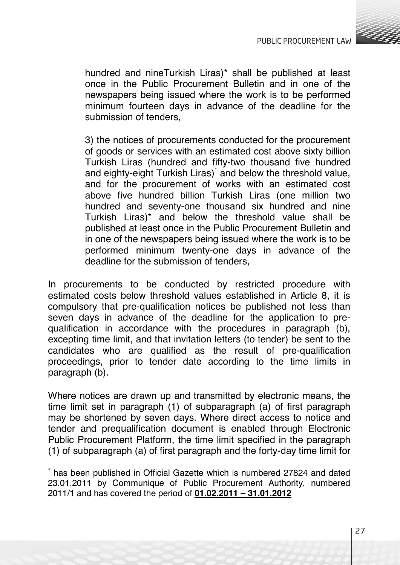

hundred and nineTurkish Liras)\* shall be published at least once in the Public Procurement Bulletin and in one of the newspapers being issued where the work is to be performed minimum fourteen days in advance of the deadline for the submission of tenders

3) the notices of procurements conducted for the procurement of goods or services with an estimated cost above sixty billion Turkish Liras (hundred and fifty-two thousand five hundred and eighty-eight Turkish Liras)\* and below the threshold value, and for the procurement of works with an estimated cost above five hundred billion Turkish Liras (one million two hundred and seventy-one thousand six hundred and nine Turkish Liras)\* and below the threshold value shall be published at least once in the Public Procurement Bulletin and in one of the newspapers being issued where the work is to be performed minimum twenty-one days in advance of the deadline for the submission of tenders,

In procurements to be conducted by restricted procedure with estimated costs below threshold values established in Article 8, it is compulsory that pre-qualification notices be published not less than seven days in advance of the deadline for the application to prequalification in accordance with the procedures in paragraph (b), excepting time limit, and that invitation letters (to tender) be sent to the candidates who are qualified as the result of pre-qualification proceedings, prior to tender date according to the time limits in paragraph (b).

Where notices are drawn up and transmitted by electronic means, the time limit set in paragraph (1) of subparagraph (a) of first paragraph may be shortened by seven days. Where direct access to notice and tender and prequalification document is enabled through Electronic Public Procurement Platform, the time limit specified in the paragraph (1) of subparagraph (a) of first paragraph and the forty-day time limit for

has been published in Official Gazette which is numbered 27824 and dated 23.01.2011 by Communique of Public Procurement Authority, numbered 2011/1 and has covered the period of **01.02.2011 – 31.01.2012**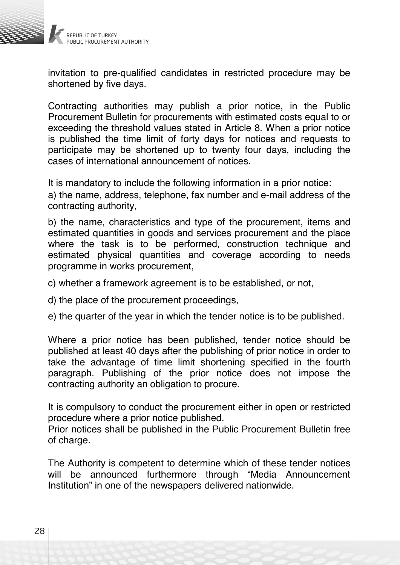

invitation to pre-qualified candidates in restricted procedure may be shortened by five days.

Contracting authorities may publish a prior notice, in the Public Procurement Bulletin for procurements with estimated costs equal to or exceeding the threshold values stated in Article 8. When a prior notice is published the time limit of forty days for notices and requests to participate may be shortened up to twenty four days, including the cases of international announcement of notices.

It is mandatory to include the following information in a prior notice: a) the name, address, telephone, fax number and e-mail address of the contracting authority,

b) the name, characteristics and type of the procurement, items and estimated quantities in goods and services procurement and the place where the task is to be performed, construction technique and estimated physical quantities and coverage according to needs programme in works procurement,

- c) whether a framework agreement is to be established, or not,
- d) the place of the procurement proceedings,
- e) the quarter of the year in which the tender notice is to be published.

Where a prior notice has been published, tender notice should be published at least 40 days after the publishing of prior notice in order to take the advantage of time limit shortening specified in the fourth paragraph. Publishing of the prior notice does not impose the contracting authority an obligation to procure.

It is compulsory to conduct the procurement either in open or restricted procedure where a prior notice published.

Prior notices shall be published in the Public Procurement Bulletin free of charge.

The Authority is competent to determine which of these tender notices will be announced furthermore through "Media Announcement Institution" in one of the newspapers delivered nationwide.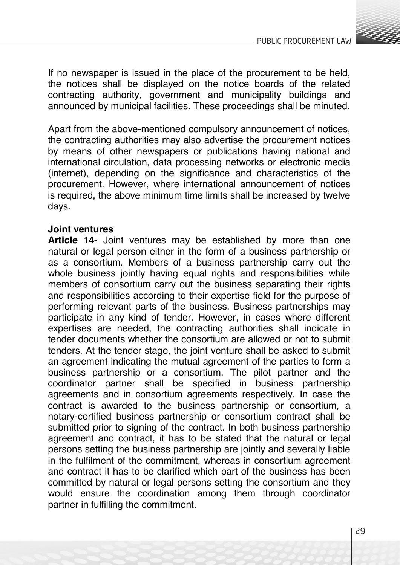

If no newspaper is issued in the place of the procurement to be held, the notices shall be displayed on the notice boards of the related contracting authority, government and municipality buildings and announced by municipal facilities. These proceedings shall be minuted.

Apart from the above-mentioned compulsory announcement of notices, the contracting authorities may also advertise the procurement notices by means of other newspapers or publications having national and international circulation, data processing networks or electronic media (internet), depending on the significance and characteristics of the procurement. However, where international announcement of notices is required, the above minimum time limits shall be increased by twelve days.

### **Joint ventures**

**Article 14-** Joint ventures may be established by more than one natural or legal person either in the form of a business partnership or as a consortium. Members of a business partnership carry out the whole business jointly having equal rights and responsibilities while members of consortium carry out the business separating their rights and responsibilities according to their expertise field for the purpose of performing relevant parts of the business. Business partnerships may participate in any kind of tender. However, in cases where different expertises are needed, the contracting authorities shall indicate in tender documents whether the consortium are allowed or not to submit tenders. At the tender stage, the joint venture shall be asked to submit an agreement indicating the mutual agreement of the parties to form a business partnership or a consortium. The pilot partner and the coordinator partner shall be specified in business partnership agreements and in consortium agreements respectively. In case the contract is awarded to the business partnership or consortium, a notary-certified business partnership or consortium contract shall be submitted prior to signing of the contract. In both business partnership agreement and contract, it has to be stated that the natural or legal persons setting the business partnership are jointly and severally liable in the fulfilment of the commitment, whereas in consortium agreement and contract it has to be clarified which part of the business has been committed by natural or legal persons setting the consortium and they would ensure the coordination among them through coordinator partner in fulfilling the commitment.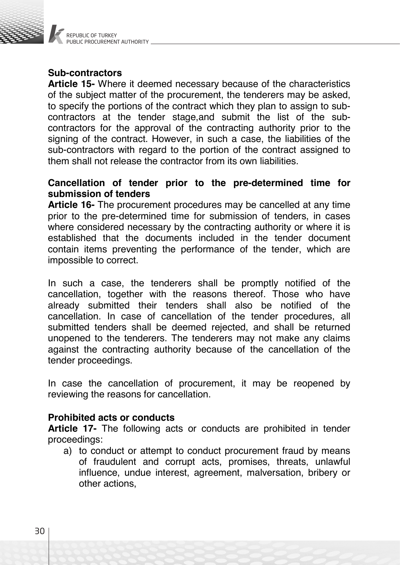

# **Sub-contractors**

**Article 15-** Where it deemed necessary because of the characteristics of the subject matter of the procurement, the tenderers may be asked, to specify the portions of the contract which they plan to assign to subcontractors at the tender stage,and submit the list of the subcontractors for the approval of the contracting authority prior to the signing of the contract. However, in such a case, the liabilities of the sub-contractors with regard to the portion of the contract assigned to them shall not release the contractor from its own liabilities.

# **Cancellation of tender prior to the pre-determined time for submission of tenders**

**Article 16-** The procurement procedures may be cancelled at any time prior to the pre-determined time for submission of tenders, in cases where considered necessary by the contracting authority or where it is established that the documents included in the tender document contain items preventing the performance of the tender, which are impossible to correct.

In such a case, the tenderers shall be promptly notified of the cancellation, together with the reasons thereof. Those who have already submitted their tenders shall also be notified of the cancellation. In case of cancellation of the tender procedures, all submitted tenders shall be deemed rejected, and shall be returned unopened to the tenderers. The tenderers may not make any claims against the contracting authority because of the cancellation of the tender proceedings.

In case the cancellation of procurement, it may be reopened by reviewing the reasons for cancellation.

# **Prohibited acts or conducts**

**Article 17-** The following acts or conducts are prohibited in tender proceedings:

a) to conduct or attempt to conduct procurement fraud by means of fraudulent and corrupt acts, promises, threats, unlawful influence, undue interest, agreement, malversation, bribery or other actions,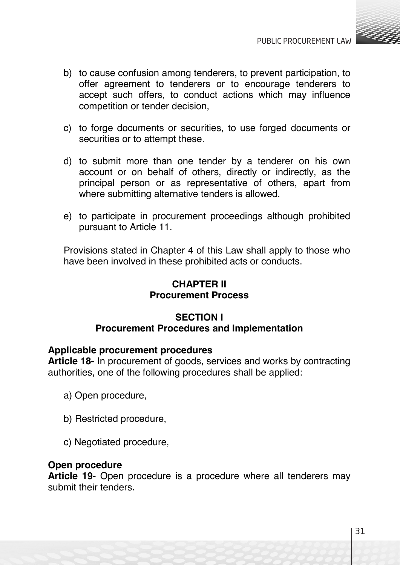

- b) to cause confusion among tenderers, to prevent participation, to offer agreement to tenderers or to encourage tenderers to accept such offers, to conduct actions which may influence competition or tender decision,
- c) to forge documents or securities, to use forged documents or securities or to attempt these.
- d) to submit more than one tender by a tenderer on his own account or on behalf of others, directly or indirectly, as the principal person or as representative of others, apart from where submitting alternative tenders is allowed.
- e) to participate in procurement proceedings although prohibited pursuant to Article 11.

Provisions stated in Chapter 4 of this Law shall apply to those who have been involved in these prohibited acts or conducts.

# **CHAPTER II Procurement Process**

### **SECTION I Procurement Procedures and Implementation**

# **Applicable procurement procedures**

**Article 18-** In procurement of goods, services and works by contracting authorities, one of the following procedures shall be applied:

- a) Open procedure,
- b) Restricted procedure,
- c) Negotiated procedure,

#### **Open procedure**

**Article 19-** Open procedure is a procedure where all tenderers may submit their tenders**.**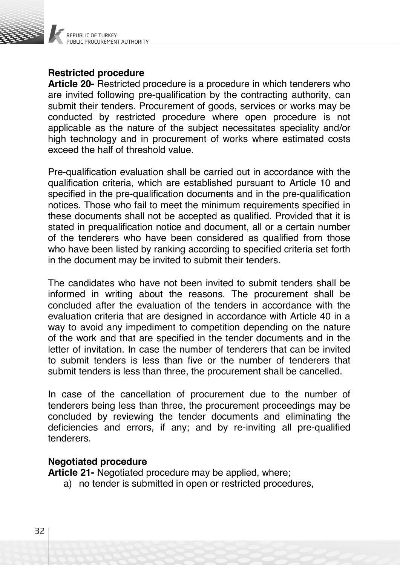

# **Restricted procedure**

**Article 20-** Restricted procedure is a procedure in which tenderers who are invited following pre-qualification by the contracting authority, can submit their tenders. Procurement of goods, services or works may be conducted by restricted procedure where open procedure is not applicable as the nature of the subject necessitates speciality and/or high technology and in procurement of works where estimated costs exceed the half of threshold value.

Pre-qualification evaluation shall be carried out in accordance with the qualification criteria, which are established pursuant to Article 10 and specified in the pre-qualification documents and in the pre-qualification notices. Those who fail to meet the minimum requirements specified in these documents shall not be accepted as qualified. Provided that it is stated in prequalification notice and document, all or a certain number of the tenderers who have been considered as qualified from those who have been listed by ranking according to specified criteria set forth in the document may be invited to submit their tenders.

The candidates who have not been invited to submit tenders shall be informed in writing about the reasons. The procurement shall be concluded after the evaluation of the tenders in accordance with the evaluation criteria that are designed in accordance with Article 40 in a way to avoid any impediment to competition depending on the nature of the work and that are specified in the tender documents and in the letter of invitation. In case the number of tenderers that can be invited to submit tenders is less than five or the number of tenderers that submit tenders is less than three, the procurement shall be cancelled.

In case of the cancellation of procurement due to the number of tenderers being less than three, the procurement proceedings may be concluded by reviewing the tender documents and eliminating the deficiencies and errors, if any; and by re-inviting all pre-qualified tenderers.

# **Negotiated procedure**

**Article 21-** Negotiated procedure may be applied, where;

a) no tender is submitted in open or restricted procedures,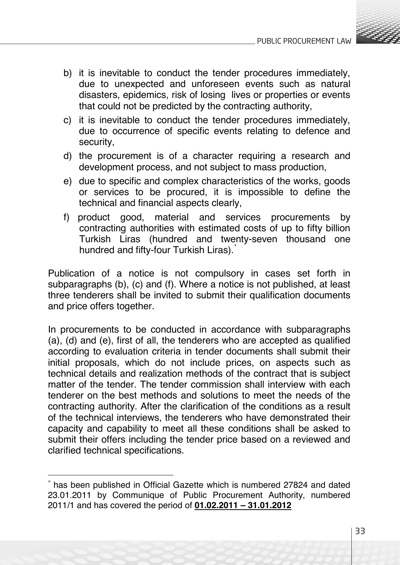

- b) it is inevitable to conduct the tender procedures immediately, due to unexpected and unforeseen events such as natural disasters, epidemics, risk of losing lives or properties or events that could not be predicted by the contracting authority,
- c) it is inevitable to conduct the tender procedures immediately, due to occurrence of specific events relating to defence and security,
- d) the procurement is of a character requiring a research and development process, and not subject to mass production,
- e) due to specific and complex characteristics of the works, goods or services to be procured, it is impossible to define the technical and financial aspects clearly,
- f) product good, material and services procurements by contracting authorities with estimated costs of up to fifty billion Turkish Liras (hundred and twenty-seven thousand one hundred and fifty-four Turkish Liras).<sup>\*</sup>

Publication of a notice is not compulsory in cases set forth in subparagraphs (b), (c) and (f). Where a notice is not published, at least three tenderers shall be invited to submit their qualification documents and price offers together.

In procurements to be conducted in accordance with subparagraphs (a), (d) and (e), first of all, the tenderers who are accepted as qualified according to evaluation criteria in tender documents shall submit their initial proposals, which do not include prices, on aspects such as technical details and realization methods of the contract that is subject matter of the tender. The tender commission shall interview with each tenderer on the best methods and solutions to meet the needs of the contracting authority. After the clarification of the conditions as a result of the technical interviews, the tenderers who have demonstrated their capacity and capability to meet all these conditions shall be asked to submit their offers including the tender price based on a reviewed and clarified technical specifications.

has been published in Official Gazette which is numbered 27824 and dated 23.01.2011 by Communique of Public Procurement Authority, numbered 2011/1 and has covered the period of **01.02.2011 – 31.01.2012**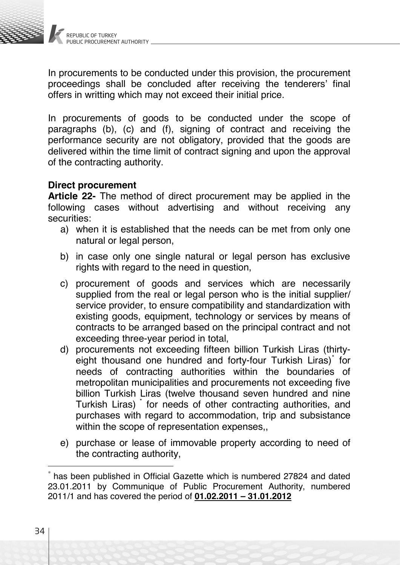

In procurements to be conducted under this provision, the procurement proceedings shall be concluded after receiving the tenderers' final offers in writting which may not exceed their initial price.

In procurements of goods to be conducted under the scope of paragraphs (b), (c) and (f), signing of contract and receiving the performance security are not obligatory, provided that the goods are delivered within the time limit of contract signing and upon the approval of the contracting authority.

# **Direct procurement**

**Article 22-** The method of direct procurement may be applied in the following cases without advertising and without receiving any securities:

- a) when it is established that the needs can be met from only one natural or legal person.
- b) in case only one single natural or legal person has exclusive rights with regard to the need in question,
- c) procurement of goods and services which are necessarily supplied from the real or legal person who is the initial supplier/ service provider, to ensure compatibility and standardization with existing goods, equipment, technology or services by means of contracts to be arranged based on the principal contract and not exceeding three-year period in total,
- d) procurements not exceeding fifteen billion Turkish Liras (thirtyeight thousand one hundred and forty-four Turkish Liras)<sup>\*</sup> for needs of contracting authorities within the boundaries of metropolitan municipalities and procurements not exceeding five billion Turkish Liras (twelve thousand seven hundred and nine Turkish Liras) \* for needs of other contracting authorities, and purchases with regard to accommodation, trip and subsistance within the scope of representation expenses,,
- e) purchase or lease of immovable property according to need of the contracting authority,

has been published in Official Gazette which is numbered 27824 and dated 23.01.2011 by Communique of Public Procurement Authority, numbered 2011/1 and has covered the period of **01.02.2011 – 31.01.2012**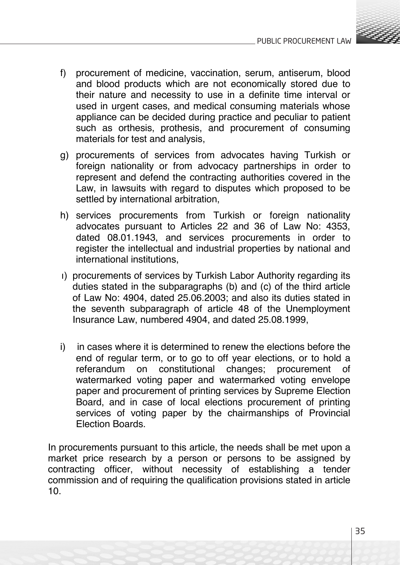

- f) procurement of medicine, vaccination, serum, antiserum, blood and blood products which are not economically stored due to their nature and necessity to use in a definite time interval or used in urgent cases, and medical consuming materials whose appliance can be decided during practice and peculiar to patient such as orthesis, prothesis, and procurement of consuming materials for test and analysis,
- g) procurements of services from advocates having Turkish or foreign nationality or from advocacy partnerships in order to represent and defend the contracting authorities covered in the Law, in lawsuits with regard to disputes which proposed to be settled by international arbitration,
- h) services procurements from Turkish or foreign nationality advocates pursuant to Articles 22 and 36 of Law No: 4353, dated 08.01.1943, and services procurements in order to register the intellectual and industrial properties by national and international institutions,
- ı) procurements of services by Turkish Labor Authority regarding its duties stated in the subparagraphs (b) and (c) of the third article of Law No: 4904, dated 25.06.2003; and also its duties stated in the seventh subparagraph of article 48 of the Unemployment Insurance Law, numbered 4904, and dated 25.08.1999,
- i) in cases where it is determined to renew the elections before the end of regular term, or to go to off year elections, or to hold a referandum on constitutional changes; procurement of watermarked voting paper and watermarked voting envelope paper and procurement of printing services by Supreme Election Board, and in case of local elections procurement of printing services of voting paper by the chairmanships of Provincial Election Boards.

In procurements pursuant to this article, the needs shall be met upon a market price research by a person or persons to be assigned by contracting officer, without necessity of establishing a tender commission and of requiring the qualification provisions stated in article 10.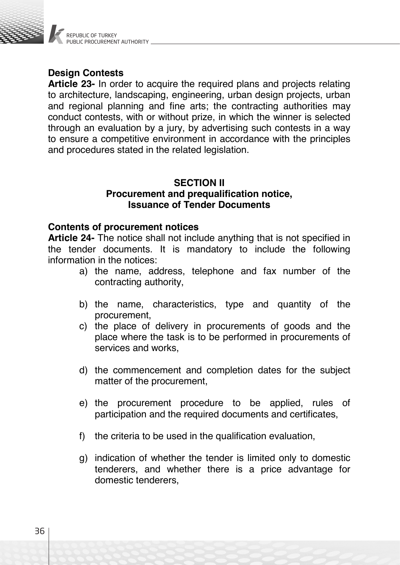

# **Design Contests**

**Article 23-** In order to acquire the required plans and projects relating to architecture, landscaping, engineering, urban design projects, urban and regional planning and fine arts; the contracting authorities may conduct contests, with or without prize, in which the winner is selected through an evaluation by a jury, by advertising such contests in a way to ensure a competitive environment in accordance with the principles and procedures stated in the related legislation.

# **SECTION II Procurement and prequalification notice, Issuance of Tender Documents**

# **Contents of procurement notices**

**Article 24-** The notice shall not include anything that is not specified in the tender documents. It is mandatory to include the following information in the notices:

- a) the name, address, telephone and fax number of the contracting authority,
- b) the name, characteristics, type and quantity of the procurement,
- c) the place of delivery in procurements of goods and the place where the task is to be performed in procurements of services and works,
- d) the commencement and completion dates for the subject matter of the procurement,
- e) the procurement procedure to be applied, rules of participation and the required documents and certificates,
- f) the criteria to be used in the qualification evaluation,
- g) indication of whether the tender is limited only to domestic tenderers, and whether there is a price advantage for domestic tenderers,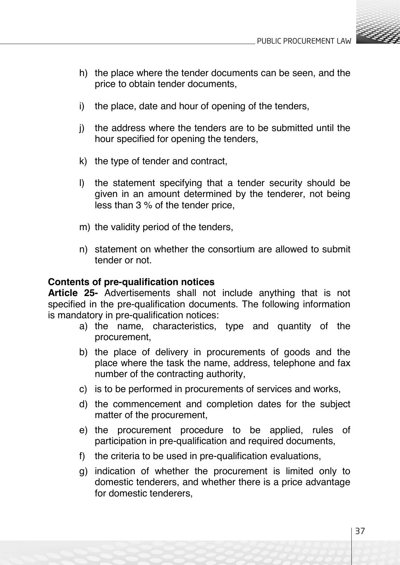

- h) the place where the tender documents can be seen, and the price to obtain tender documents,
- i) the place, date and hour of opening of the tenders,
- j) the address where the tenders are to be submitted until the hour specified for opening the tenders,
- k) the type of tender and contract,
- l) the statement specifying that a tender security should be given in an amount determined by the tenderer, not being less than 3 % of the tender price,
- m) the validity period of the tenders,
- n) statement on whether the consortium are allowed to submit tender or not.

# **Contents of pre-qualification notices**

**Article 25-** Advertisements shall not include anything that is not specified in the pre-qualification documents. The following information is mandatory in pre-qualification notices:

- a) the name, characteristics, type and quantity of the procurement,
- b) the place of delivery in procurements of goods and the place where the task the name, address, telephone and fax number of the contracting authority,
- c) is to be performed in procurements of services and works,
- d) the commencement and completion dates for the subject matter of the procurement,
- e) the procurement procedure to be applied, rules of participation in pre-qualification and required documents,
- f) the criteria to be used in pre-qualification evaluations,
- g) indication of whether the procurement is limited only to domestic tenderers, and whether there is a price advantage for domestic tenderers,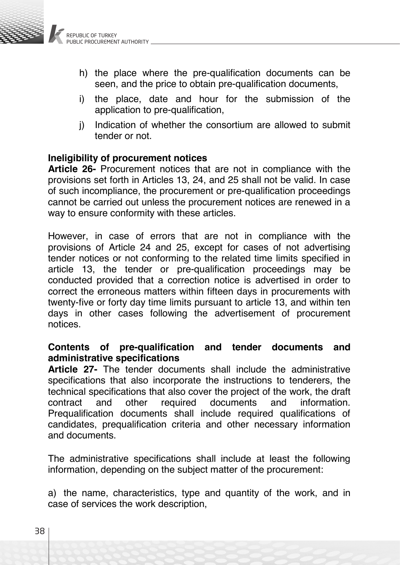- h) the place where the pre-qualification documents can be seen, and the price to obtain pre-qualification documents,
- i) the place, date and hour for the submission of the application to pre-qualification,
- j) Indication of whether the consortium are allowed to submit tender or not.

# **Ineligibility of procurement notices**

**Article 26-** Procurement notices that are not in compliance with the provisions set forth in Articles 13, 24, and 25 shall not be valid. In case of such incompliance, the procurement or pre-qualification proceedings cannot be carried out unless the procurement notices are renewed in a way to ensure conformity with these articles.

However, in case of errors that are not in compliance with the provisions of Article 24 and 25, except for cases of not advertising tender notices or not conforming to the related time limits specified in article 13, the tender or pre-qualification proceedings may be conducted provided that a correction notice is advertised in order to correct the erroneous matters within fifteen days in procurements with twenty-five or forty day time limits pursuant to article 13, and within ten days in other cases following the advertisement of procurement notices.

# **Contents of pre-qualification and tender documents and administrative specifications**

**Article 27-** The tender documents shall include the administrative specifications that also incorporate the instructions to tenderers, the technical specifications that also cover the project of the work, the draft<br>contract and other required documents and information. information. Prequalification documents shall include required qualifications of candidates, prequalification criteria and other necessary information and documents.

The administrative specifications shall include at least the following information, depending on the subject matter of the procurement:

a) the name, characteristics, type and quantity of the work, and in case of services the work description,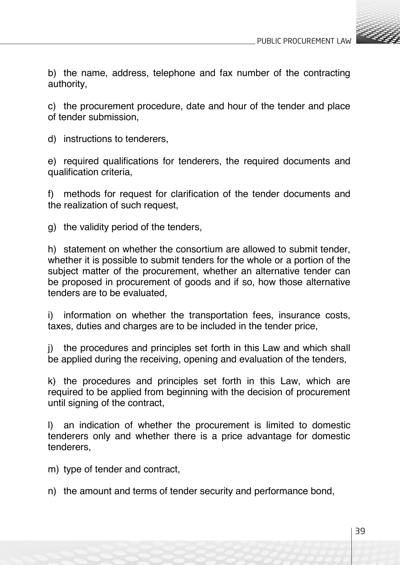

b) the name, address, telephone and fax number of the contracting authority,

c) the procurement procedure, date and hour of the tender and place of tender submission,

d) instructions to tenderers,

e) required qualifications for tenderers, the required documents and qualification criteria,

f) methods for request for clarification of the tender documents and the realization of such request,

g) the validity period of the tenders,

h) statement on whether the consortium are allowed to submit tender, whether it is possible to submit tenders for the whole or a portion of the subject matter of the procurement, whether an alternative tender can be proposed in procurement of goods and if so, how those alternative tenders are to be evaluated,

i) information on whether the transportation fees, insurance costs, taxes, duties and charges are to be included in the tender price,

j) the procedures and principles set forth in this Law and which shall be applied during the receiving, opening and evaluation of the tenders,

k) the procedures and principles set forth in this Law, which are required to be applied from beginning with the decision of procurement until signing of the contract,

l) an indication of whether the procurement is limited to domestic tenderers only and whether there is a price advantage for domestic tenderers,

m) type of tender and contract,

n) the amount and terms of tender security and performance bond,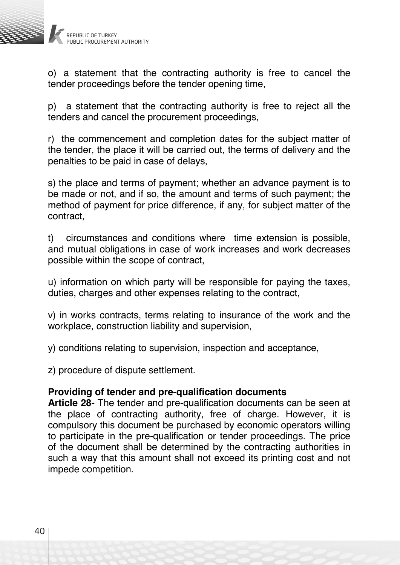

o) a statement that the contracting authority is free to cancel the tender proceedings before the tender opening time,

p) a statement that the contracting authority is free to reject all the tenders and cancel the procurement proceedings,

r) the commencement and completion dates for the subject matter of the tender, the place it will be carried out, the terms of delivery and the penalties to be paid in case of delays,

s) the place and terms of payment; whether an advance payment is to be made or not, and if so, the amount and terms of such payment; the method of payment for price difference, if any, for subject matter of the contract,

t) circumstances and conditions where time extension is possible, and mutual obligations in case of work increases and work decreases possible within the scope of contract,

u) information on which party will be responsible for paying the taxes, duties, charges and other expenses relating to the contract,

v) in works contracts, terms relating to insurance of the work and the workplace, construction liability and supervision,

y) conditions relating to supervision, inspection and acceptance,

z) procedure of dispute settlement.

# **Providing of tender and pre-qualification documents**

**Article 28-** The tender and pre-qualification documents can be seen at the place of contracting authority, free of charge. However, it is compulsory this document be purchased by economic operators willing to participate in the pre-qualification or tender proceedings. The price of the document shall be determined by the contracting authorities in such a way that this amount shall not exceed its printing cost and not impede competition.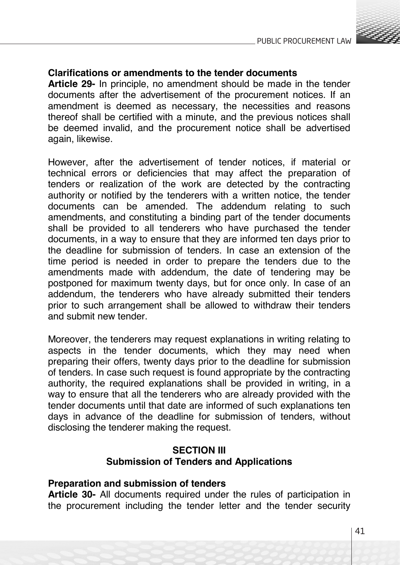

# **Clarifications or amendments to the tender documents**

**Article 29-** In principle, no amendment should be made in the tender documents after the advertisement of the procurement notices. If an amendment is deemed as necessary, the necessities and reasons thereof shall be certified with a minute, and the previous notices shall be deemed invalid, and the procurement notice shall be advertised again, likewise.

However, after the advertisement of tender notices, if material or technical errors or deficiencies that may affect the preparation of tenders or realization of the work are detected by the contracting authority or notified by the tenderers with a written notice, the tender documents can be amended. The addendum relating to such amendments, and constituting a binding part of the tender documents shall be provided to all tenderers who have purchased the tender documents, in a way to ensure that they are informed ten days prior to the deadline for submission of tenders. In case an extension of the time period is needed in order to prepare the tenders due to the amendments made with addendum, the date of tendering may be postponed for maximum twenty days, but for once only. In case of an addendum, the tenderers who have already submitted their tenders prior to such arrangement shall be allowed to withdraw their tenders and submit new tender.

Moreover, the tenderers may request explanations in writing relating to aspects in the tender documents, which they may need when preparing their offers, twenty days prior to the deadline for submission of tenders. In case such request is found appropriate by the contracting authority, the required explanations shall be provided in writing, in a way to ensure that all the tenderers who are already provided with the tender documents until that date are informed of such explanations ten days in advance of the deadline for submission of tenders, without disclosing the tenderer making the request.

# **SECTION III Submission of Tenders and Applications**

### **Preparation and submission of tenders**

**Article 30-** All documents required under the rules of participation in the procurement including the tender letter and the tender security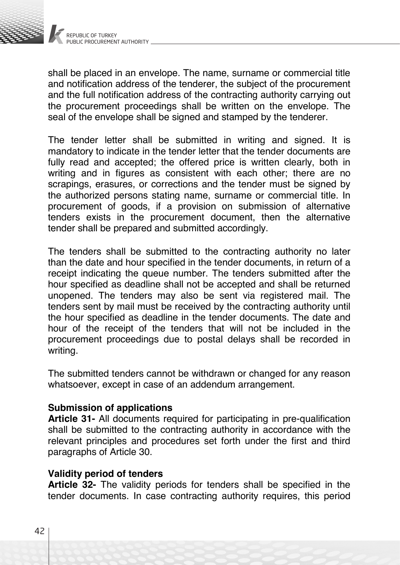

shall be placed in an envelope. The name, surname or commercial title and notification address of the tenderer, the subject of the procurement and the full notification address of the contracting authority carrying out the procurement proceedings shall be written on the envelope. The seal of the envelope shall be signed and stamped by the tenderer.

The tender letter shall be submitted in writing and signed. It is mandatory to indicate in the tender letter that the tender documents are fully read and accepted; the offered price is written clearly, both in writing and in figures as consistent with each other; there are no scrapings, erasures, or corrections and the tender must be signed by the authorized persons stating name, surname or commercial title. In procurement of goods, if a provision on submission of alternative tenders exists in the procurement document, then the alternative tender shall be prepared and submitted accordingly.

The tenders shall be submitted to the contracting authority no later than the date and hour specified in the tender documents, in return of a receipt indicating the queue number. The tenders submitted after the hour specified as deadline shall not be accepted and shall be returned unopened. The tenders may also be sent via registered mail. The tenders sent by mail must be received by the contracting authority until the hour specified as deadline in the tender documents. The date and hour of the receipt of the tenders that will not be included in the procurement proceedings due to postal delays shall be recorded in writing.

The submitted tenders cannot be withdrawn or changed for any reason whatsoever, except in case of an addendum arrangement.

### **Submission of applications**

**Article 31-** All documents required for participating in pre-qualification shall be submitted to the contracting authority in accordance with the relevant principles and procedures set forth under the first and third paragraphs of Article 30.

### **Validity period of tenders**

**Article 32-** The validity periods for tenders shall be specified in the tender documents. In case contracting authority requires, this period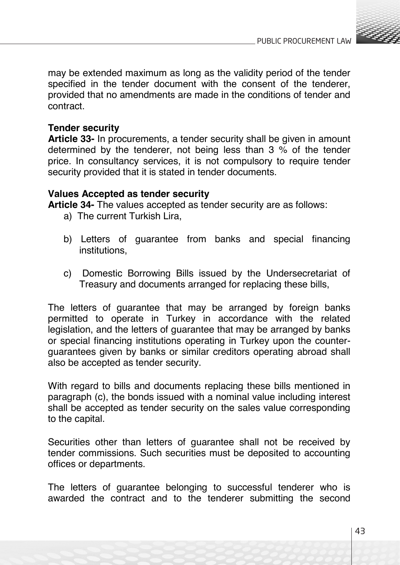

may be extended maximum as long as the validity period of the tender specified in the tender document with the consent of the tenderer, provided that no amendments are made in the conditions of tender and contract.

# **Tender security**

**Article 33-** In procurements, a tender security shall be given in amount determined by the tenderer, not being less than 3 % of the tender price. In consultancy services, it is not compulsory to require tender security provided that it is stated in tender documents.

## **Values Accepted as tender security**

**Article 34-** The values accepted as tender security are as follows:

- a) The current Turkish Lira,
- b) Letters of guarantee from banks and special financing institutions,
- c) Domestic Borrowing Bills issued by the Undersecretariat of Treasury and documents arranged for replacing these bills,

The letters of guarantee that may be arranged by foreign banks permitted to operate in Turkey in accordance with the related legislation, and the letters of guarantee that may be arranged by banks or special financing institutions operating in Turkey upon the counterguarantees given by banks or similar creditors operating abroad shall also be accepted as tender security.

With regard to bills and documents replacing these bills mentioned in paragraph (c), the bonds issued with a nominal value including interest shall be accepted as tender security on the sales value corresponding to the capital.

Securities other than letters of guarantee shall not be received by tender commissions. Such securities must be deposited to accounting offices or departments.

The letters of guarantee belonging to successful tenderer who is awarded the contract and to the tenderer submitting the second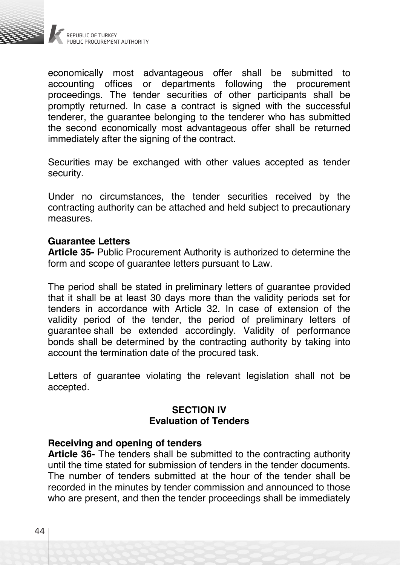

economically most advantageous offer shall be submitted to accounting offices or departments following the procurement proceedings. The tender securities of other participants shall be promptly returned. In case a contract is signed with the successful tenderer, the guarantee belonging to the tenderer who has submitted the second economically most advantageous offer shall be returned immediately after the signing of the contract.

Securities may be exchanged with other values accepted as tender security.

Under no circumstances, the tender securities received by the contracting authority can be attached and held subject to precautionary measures.

#### **Guarantee Letters**

**Article 35-** Public Procurement Authority is authorized to determine the form and scope of guarantee letters pursuant to Law.

The period shall be stated in preliminary letters of guarantee provided that it shall be at least 30 days more than the validity periods set for tenders in accordance with Article 32. In case of extension of the validity period of the tender, the period of preliminary letters of guarantee shall be extended accordingly. Validity of performance bonds shall be determined by the contracting authority by taking into account the termination date of the procured task.

Letters of guarantee violating the relevant legislation shall not be accepted.

# **SECTION IV Evaluation of Tenders**

#### **Receiving and opening of tenders**

**Article 36-** The tenders shall be submitted to the contracting authority until the time stated for submission of tenders in the tender documents. The number of tenders submitted at the hour of the tender shall be recorded in the minutes by tender commission and announced to those who are present, and then the tender proceedings shall be immediately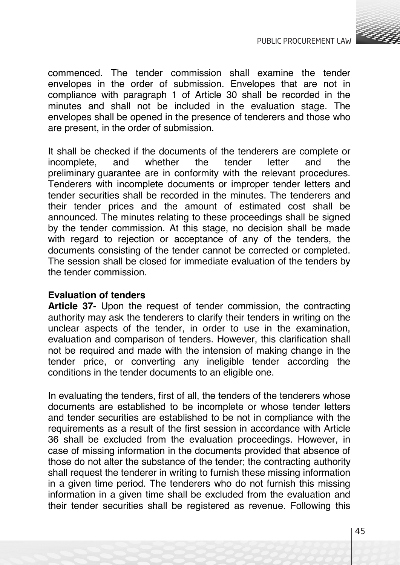

commenced. The tender commission shall examine the tender envelopes in the order of submission. Envelopes that are not in compliance with paragraph 1 of Article 30 shall be recorded in the minutes and shall not be included in the evaluation stage. The envelopes shall be opened in the presence of tenderers and those who are present, in the order of submission.

It shall be checked if the documents of the tenderers are complete or<br>incomplete, and whether the tender letter and the incomplete, and whether the tender letter and the preliminary guarantee are in conformity with the relevant procedures. Tenderers with incomplete documents or improper tender letters and tender securities shall be recorded in the minutes. The tenderers and their tender prices and the amount of estimated cost shall be announced. The minutes relating to these proceedings shall be signed by the tender commission. At this stage, no decision shall be made with regard to rejection or acceptance of any of the tenders, the documents consisting of the tender cannot be corrected or completed. The session shall be closed for immediate evaluation of the tenders by the tender commission.

# **Evaluation of tenders**

**Article 37-** Upon the request of tender commission, the contracting authority may ask the tenderers to clarify their tenders in writing on the unclear aspects of the tender, in order to use in the examination, evaluation and comparison of tenders. However, this clarification shall not be required and made with the intension of making change in the tender price, or converting any ineligible tender according the conditions in the tender documents to an eligible one.

In evaluating the tenders, first of all, the tenders of the tenderers whose documents are established to be incomplete or whose tender letters and tender securities are established to be not in compliance with the requirements as a result of the first session in accordance with Article 36 shall be excluded from the evaluation proceedings. However, in case of missing information in the documents provided that absence of those do not alter the substance of the tender; the contracting authority shall request the tenderer in writing to furnish these missing information in a given time period. The tenderers who do not furnish this missing information in a given time shall be excluded from the evaluation and their tender securities shall be registered as revenue. Following this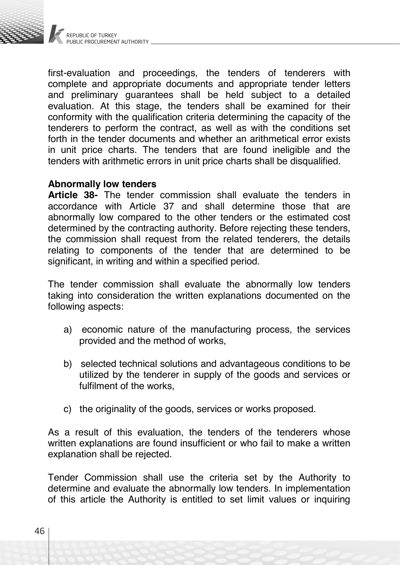

first-evaluation and proceedings, the tenders of tenderers with complete and appropriate documents and appropriate tender letters and preliminary guarantees shall be held subject to a detailed evaluation. At this stage, the tenders shall be examined for their conformity with the qualification criteria determining the capacity of the tenderers to perform the contract, as well as with the conditions set forth in the tender documents and whether an arithmetical error exists in unit price charts. The tenders that are found ineligible and the tenders with arithmetic errors in unit price charts shall be disqualified.

## **Abnormally low tenders**

**Article 38-** The tender commission shall evaluate the tenders in accordance with Article 37 and shall determine those that are abnormally low compared to the other tenders or the estimated cost determined by the contracting authority. Before rejecting these tenders, the commission shall request from the related tenderers, the details relating to components of the tender that are determined to be significant, in writing and within a specified period.

The tender commission shall evaluate the abnormally low tenders taking into consideration the written explanations documented on the following aspects:

- a) economic nature of the manufacturing process, the services provided and the method of works,
- b) selected technical solutions and advantageous conditions to be utilized by the tenderer in supply of the goods and services or fulfilment of the works,
- c) the originality of the goods, services or works proposed.

As a result of this evaluation, the tenders of the tenderers whose written explanations are found insufficient or who fail to make a written explanation shall be rejected.

Tender Commission shall use the criteria set by the Authority to determine and evaluate the abnormally low tenders. In implementation of this article the Authority is entitled to set limit values or inquiring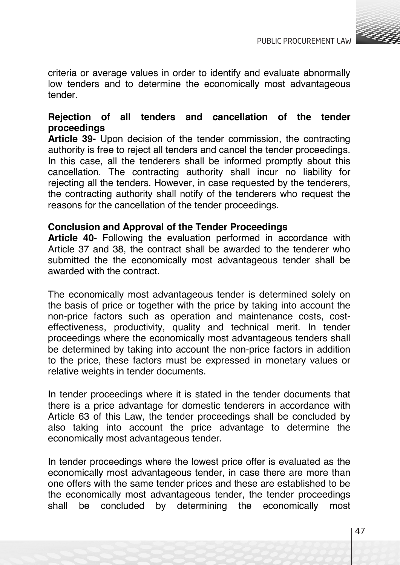

criteria or average values in order to identify and evaluate abnormally low tenders and to determine the economically most advantageous tender.

# **Rejection of all tenders and cancellation of the tender proceedings**

**Article 39-** Upon decision of the tender commission, the contracting authority is free to reject all tenders and cancel the tender proceedings. In this case, all the tenderers shall be informed promptly about this cancellation. The contracting authority shall incur no liability for rejecting all the tenders. However, in case requested by the tenderers, the contracting authority shall notify of the tenderers who request the reasons for the cancellation of the tender proceedings.

# **Conclusion and Approval of the Tender Proceedings**

**Article 40-** Following the evaluation performed in accordance with Article 37 and 38, the contract shall be awarded to the tenderer who submitted the the economically most advantageous tender shall be awarded with the contract.

The economically most advantageous tender is determined solely on the basis of price or together with the price by taking into account the non-price factors such as operation and maintenance costs, costeffectiveness, productivity, quality and technical merit. In tender proceedings where the economically most advantageous tenders shall be determined by taking into account the non-price factors in addition to the price, these factors must be expressed in monetary values or relative weights in tender documents.

In tender proceedings where it is stated in the tender documents that there is a price advantage for domestic tenderers in accordance with Article 63 of this Law, the tender proceedings shall be concluded by also taking into account the price advantage to determine the economically most advantageous tender.

In tender proceedings where the lowest price offer is evaluated as the economically most advantageous tender, in case there are more than one offers with the same tender prices and these are established to be the economically most advantageous tender, the tender proceedings shall be concluded by determining the economically most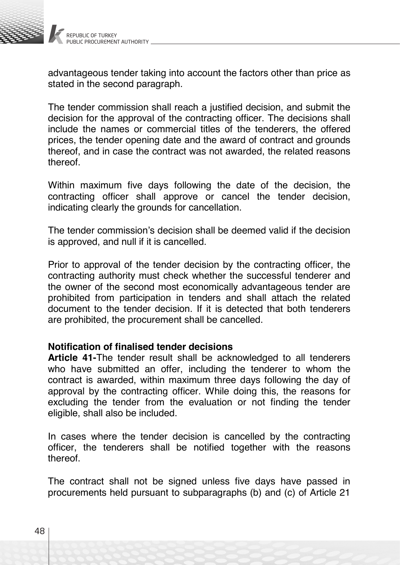

advantageous tender taking into account the factors other than price as stated in the second paragraph.

The tender commission shall reach a justified decision, and submit the decision for the approval of the contracting officer. The decisions shall include the names or commercial titles of the tenderers, the offered prices, the tender opening date and the award of contract and grounds thereof, and in case the contract was not awarded, the related reasons thereof.

Within maximum five days following the date of the decision, the contracting officer shall approve or cancel the tender decision, indicating clearly the grounds for cancellation.

The tender commission's decision shall be deemed valid if the decision is approved, and null if it is cancelled.

Prior to approval of the tender decision by the contracting officer, the contracting authority must check whether the successful tenderer and the owner of the second most economically advantageous tender are prohibited from participation in tenders and shall attach the related document to the tender decision. If it is detected that both tenderers are prohibited, the procurement shall be cancelled.

### **Notification of finalised tender decisions**

**Article 41-**The tender result shall be acknowledged to all tenderers who have submitted an offer, including the tenderer to whom the contract is awarded, within maximum three days following the day of approval by the contracting officer. While doing this, the reasons for excluding the tender from the evaluation or not finding the tender eligible, shall also be included.

In cases where the tender decision is cancelled by the contracting officer, the tenderers shall be notified together with the reasons thereof.

The contract shall not be signed unless five days have passed in procurements held pursuant to subparagraphs (b) and (c) of Article 21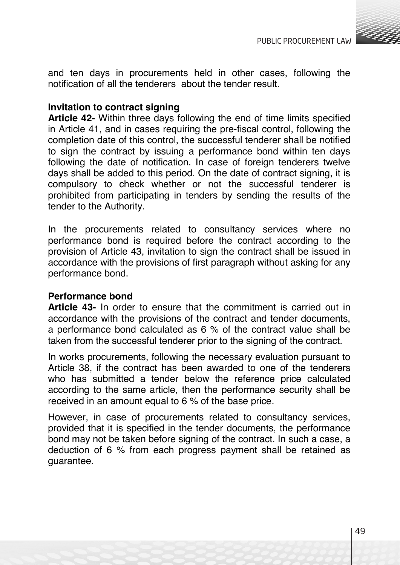

and ten days in procurements held in other cases, following the notification of all the tenderers about the tender result.

# **Invitation to contract signing**

**Article 42-** Within three days following the end of time limits specified in Article 41, and in cases requiring the pre-fiscal control, following the completion date of this control, the successful tenderer shall be notified to sign the contract by issuing a performance bond within ten days following the date of notification. In case of foreign tenderers twelve days shall be added to this period. On the date of contract signing, it is compulsory to check whether or not the successful tenderer is prohibited from participating in tenders by sending the results of the tender to the Authority.

In the procurements related to consultancy services where no performance bond is required before the contract according to the provision of Article 43, invitation to sign the contract shall be issued in accordance with the provisions of first paragraph without asking for any performance bond.

### **Performance bond**

**Article 43-** In order to ensure that the commitment is carried out in accordance with the provisions of the contract and tender documents, a performance bond calculated as 6 % of the contract value shall be taken from the successful tenderer prior to the signing of the contract.

In works procurements, following the necessary evaluation pursuant to Article 38, if the contract has been awarded to one of the tenderers who has submitted a tender below the reference price calculated according to the same article, then the performance security shall be received in an amount equal to 6 % of the base price.

However, in case of procurements related to consultancy services, provided that it is specified in the tender documents, the performance bond may not be taken before signing of the contract. In such a case, a deduction of 6 % from each progress payment shall be retained as guarantee.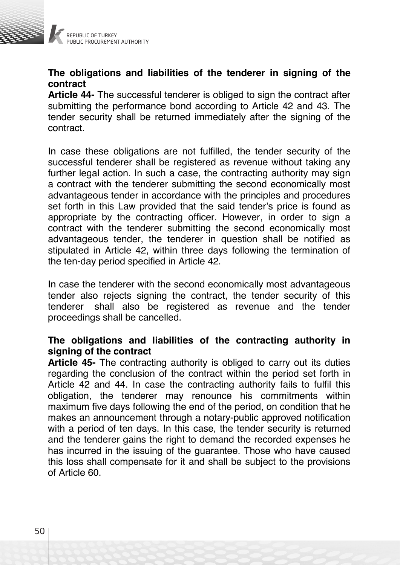

# **The obligations and liabilities of the tenderer in signing of the contract**

**Article 44-** The successful tenderer is obliged to sign the contract after submitting the performance bond according to Article 42 and 43. The tender security shall be returned immediately after the signing of the contract.

In case these obligations are not fulfilled, the tender security of the successful tenderer shall be registered as revenue without taking any further legal action. In such a case, the contracting authority may sign a contract with the tenderer submitting the second economically most advantageous tender in accordance with the principles and procedures set forth in this Law provided that the said tender's price is found as appropriate by the contracting officer. However, in order to sign a contract with the tenderer submitting the second economically most advantageous tender, the tenderer in question shall be notified as stipulated in Article 42, within three days following the termination of the ten-day period specified in Article 42.

In case the tenderer with the second economically most advantageous tender also rejects signing the contract, the tender security of this tenderer shall also be registered as revenue and the tender proceedings shall be cancelled.

# **The obligations and liabilities of the contracting authority in signing of the contract**

**Article 45-** The contracting authority is obliged to carry out its duties regarding the conclusion of the contract within the period set forth in Article 42 and 44. In case the contracting authority fails to fulfil this obligation, the tenderer may renounce his commitments within maximum five days following the end of the period, on condition that he makes an announcement through a notary-public approved notification with a period of ten days. In this case, the tender security is returned and the tenderer gains the right to demand the recorded expenses he has incurred in the issuing of the guarantee. Those who have caused this loss shall compensate for it and shall be subject to the provisions of Article 60.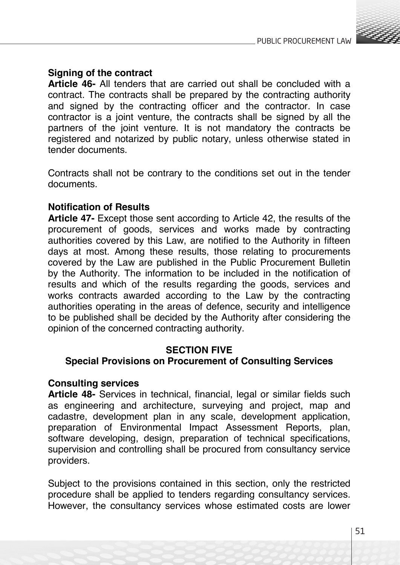

# **Signing of the contract**

**Article 46-** All tenders that are carried out shall be concluded with a contract. The contracts shall be prepared by the contracting authority and signed by the contracting officer and the contractor. In case contractor is a joint venture, the contracts shall be signed by all the partners of the joint venture. It is not mandatory the contracts be registered and notarized by public notary, unless otherwise stated in tender documents.

Contracts shall not be contrary to the conditions set out in the tender documents.

# **Notification of Results**

**Article 47-** Except those sent according to Article 42, the results of the procurement of goods, services and works made by contracting authorities covered by this Law, are notified to the Authority in fifteen days at most. Among these results, those relating to procurements covered by the Law are published in the Public Procurement Bulletin by the Authority. The information to be included in the notification of results and which of the results regarding the goods, services and works contracts awarded according to the Law by the contracting authorities operating in the areas of defence, security and intelligence to be published shall be decided by the Authority after considering the opinion of the concerned contracting authority.

### **SECTION FIVE**

# **Special Provisions on Procurement of Consulting Services**

### **Consulting services**

**Article 48-** Services in technical, financial, legal or similar fields such as engineering and architecture, surveying and project, map and cadastre, development plan in any scale, development application, preparation of Environmental Impact Assessment Reports, plan, software developing, design, preparation of technical specifications, supervision and controlling shall be procured from consultancy service providers.

Subject to the provisions contained in this section, only the restricted procedure shall be applied to tenders regarding consultancy services. However, the consultancy services whose estimated costs are lower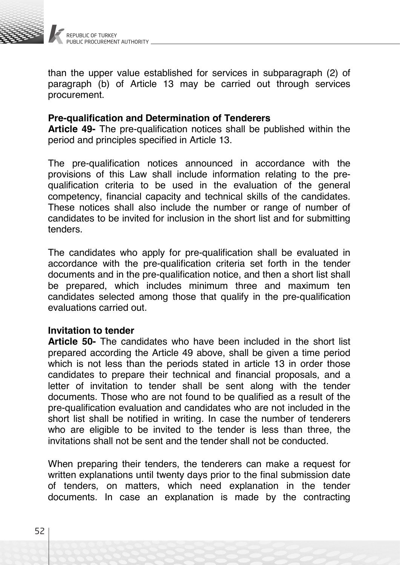

than the upper value established for services in subparagraph (2) of paragraph (b) of Article 13 may be carried out through services procurement.

### **Pre-qualification and Determination of Tenderers**

**Article 49-** The pre-qualification notices shall be published within the period and principles specified in Article 13.

The pre-qualification notices announced in accordance with the provisions of this Law shall include information relating to the prequalification criteria to be used in the evaluation of the general competency, financial capacity and technical skills of the candidates. These notices shall also include the number or range of number of candidates to be invited for inclusion in the short list and for submitting tenders.

The candidates who apply for pre-qualification shall be evaluated in accordance with the pre-qualification criteria set forth in the tender documents and in the pre-qualification notice, and then a short list shall be prepared, which includes minimum three and maximum ten candidates selected among those that qualify in the pre-qualification evaluations carried out.

### **Invitation to tender**

**Article 50-** The candidates who have been included in the short list prepared according the Article 49 above, shall be given a time period which is not less than the periods stated in article 13 in order those candidates to prepare their technical and financial proposals, and a letter of invitation to tender shall be sent along with the tender documents. Those who are not found to be qualified as a result of the pre-qualification evaluation and candidates who are not included in the short list shall be notified in writing. In case the number of tenderers who are eligible to be invited to the tender is less than three, the invitations shall not be sent and the tender shall not be conducted.

When preparing their tenders, the tenderers can make a request for written explanations until twenty days prior to the final submission date of tenders, on matters, which need explanation in the tender documents. In case an explanation is made by the contracting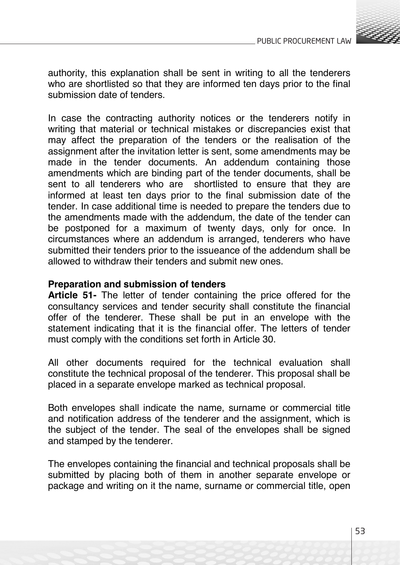

authority, this explanation shall be sent in writing to all the tenderers who are shortlisted so that they are informed ten days prior to the final submission date of tenders.

In case the contracting authority notices or the tenderers notify in writing that material or technical mistakes or discrepancies exist that may affect the preparation of the tenders or the realisation of the assignment after the invitation letter is sent, some amendments may be made in the tender documents. An addendum containing those amendments which are binding part of the tender documents, shall be sent to all tenderers who are shortlisted to ensure that they are informed at least ten days prior to the final submission date of the tender. In case additional time is needed to prepare the tenders due to the amendments made with the addendum, the date of the tender can be postponed for a maximum of twenty days, only for once. In circumstances where an addendum is arranged, tenderers who have submitted their tenders prior to the issueance of the addendum shall be allowed to withdraw their tenders and submit new ones.

### **Preparation and submission of tenders**

**Article 51-** The letter of tender containing the price offered for the consultancy services and tender security shall constitute the financial offer of the tenderer. These shall be put in an envelope with the statement indicating that it is the financial offer. The letters of tender must comply with the conditions set forth in Article 30.

All other documents required for the technical evaluation shall constitute the technical proposal of the tenderer. This proposal shall be placed in a separate envelope marked as technical proposal.

Both envelopes shall indicate the name, surname or commercial title and notification address of the tenderer and the assignment, which is the subject of the tender. The seal of the envelopes shall be signed and stamped by the tenderer.

The envelopes containing the financial and technical proposals shall be submitted by placing both of them in another separate envelope or package and writing on it the name, surname or commercial title, open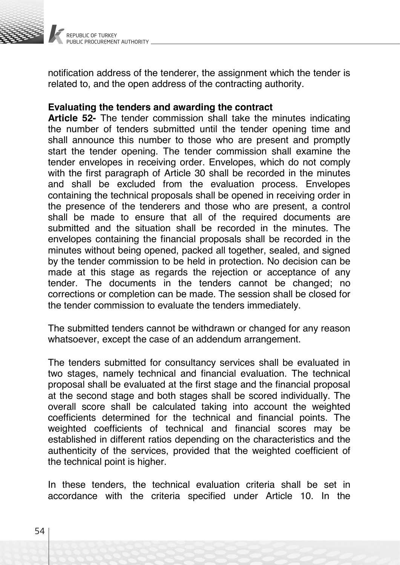

notification address of the tenderer, the assignment which the tender is related to, and the open address of the contracting authority.

### **Evaluating the tenders and awarding the contract**

**Article 52-** The tender commission shall take the minutes indicating the number of tenders submitted until the tender opening time and shall announce this number to those who are present and promptly start the tender opening. The tender commission shall examine the tender envelopes in receiving order. Envelopes, which do not comply with the first paragraph of Article 30 shall be recorded in the minutes and shall be excluded from the evaluation process. Envelopes containing the technical proposals shall be opened in receiving order in the presence of the tenderers and those who are present, a control shall be made to ensure that all of the required documents are submitted and the situation shall be recorded in the minutes. The envelopes containing the financial proposals shall be recorded in the minutes without being opened, packed all together, sealed, and signed by the tender commission to be held in protection. No decision can be made at this stage as regards the rejection or acceptance of any tender. The documents in the tenders cannot be changed; no corrections or completion can be made. The session shall be closed for the tender commission to evaluate the tenders immediately.

The submitted tenders cannot be withdrawn or changed for any reason whatsoever, except the case of an addendum arrangement.

The tenders submitted for consultancy services shall be evaluated in two stages, namely technical and financial evaluation. The technical proposal shall be evaluated at the first stage and the financial proposal at the second stage and both stages shall be scored individually. The overall score shall be calculated taking into account the weighted coefficients determined for the technical and financial points. The weighted coefficients of technical and financial scores may be established in different ratios depending on the characteristics and the authenticity of the services, provided that the weighted coefficient of the technical point is higher.

In these tenders, the technical evaluation criteria shall be set in accordance with the criteria specified under Article 10. In the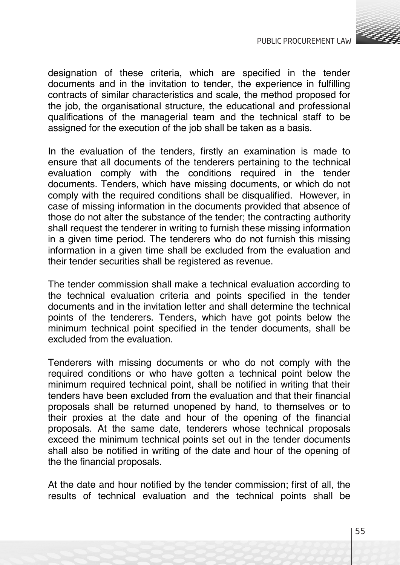

designation of these criteria, which are specified in the tender documents and in the invitation to tender, the experience in fulfilling contracts of similar characteristics and scale, the method proposed for the job, the organisational structure, the educational and professional qualifications of the managerial team and the technical staff to be assigned for the execution of the job shall be taken as a basis.

In the evaluation of the tenders, firstly an examination is made to ensure that all documents of the tenderers pertaining to the technical evaluation comply with the conditions required in the tender documents. Tenders, which have missing documents, or which do not comply with the required conditions shall be disqualified. However, in case of missing information in the documents provided that absence of those do not alter the substance of the tender; the contracting authority shall request the tenderer in writing to furnish these missing information in a given time period. The tenderers who do not furnish this missing information in a given time shall be excluded from the evaluation and their tender securities shall be registered as revenue.

The tender commission shall make a technical evaluation according to the technical evaluation criteria and points specified in the tender documents and in the invitation letter and shall determine the technical points of the tenderers. Tenders, which have got points below the minimum technical point specified in the tender documents, shall be excluded from the evaluation.

Tenderers with missing documents or who do not comply with the required conditions or who have gotten a technical point below the minimum required technical point, shall be notified in writing that their tenders have been excluded from the evaluation and that their financial proposals shall be returned unopened by hand, to themselves or to their proxies at the date and hour of the opening of the financial proposals. At the same date, tenderers whose technical proposals exceed the minimum technical points set out in the tender documents shall also be notified in writing of the date and hour of the opening of the the financial proposals.

At the date and hour notified by the tender commission; first of all, the results of technical evaluation and the technical points shall be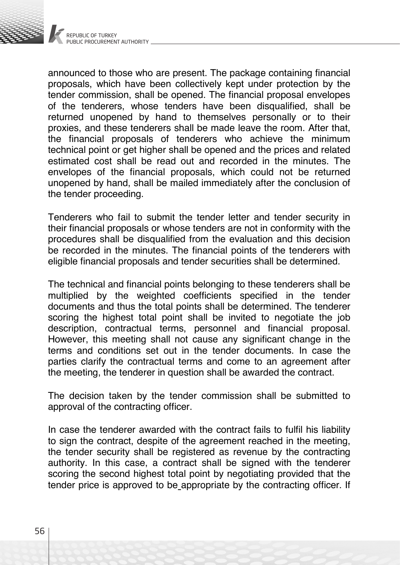

announced to those who are present. The package containing financial proposals, which have been collectively kept under protection by the tender commission, shall be opened. The financial proposal envelopes of the tenderers, whose tenders have been disqualified, shall be returned unopened by hand to themselves personally or to their proxies, and these tenderers shall be made leave the room. After that, the financial proposals of tenderers who achieve the minimum technical point or get higher shall be opened and the prices and related estimated cost shall be read out and recorded in the minutes. The envelopes of the financial proposals, which could not be returned unopened by hand, shall be mailed immediately after the conclusion of the tender proceeding.

Tenderers who fail to submit the tender letter and tender security in their financial proposals or whose tenders are not in conformity with the procedures shall be disqualified from the evaluation and this decision be recorded in the minutes. The financial points of the tenderers with eligible financial proposals and tender securities shall be determined.

The technical and financial points belonging to these tenderers shall be multiplied by the weighted coefficients specified in the tender documents and thus the total points shall be determined. The tenderer scoring the highest total point shall be invited to negotiate the job description, contractual terms, personnel and financial proposal. However, this meeting shall not cause any significant change in the terms and conditions set out in the tender documents. In case the parties clarify the contractual terms and come to an agreement after the meeting, the tenderer in question shall be awarded the contract.

The decision taken by the tender commission shall be submitted to approval of the contracting officer.

In case the tenderer awarded with the contract fails to fulfil his liability to sign the contract, despite of the agreement reached in the meeting, the tender security shall be registered as revenue by the contracting authority. In this case, a contract shall be signed with the tenderer scoring the second highest total point by negotiating provided that the tender price is approved to be appropriate by the contracting officer. If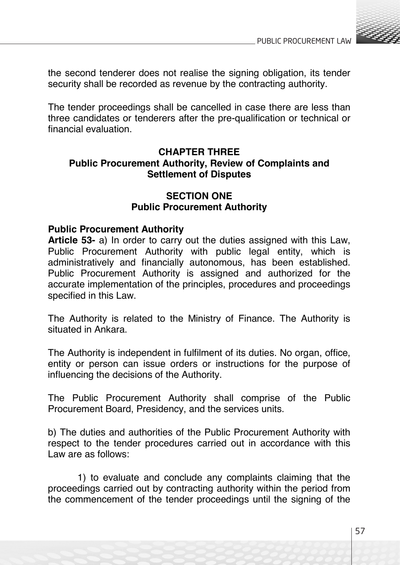

the second tenderer does not realise the signing obligation, its tender security shall be recorded as revenue by the contracting authority.

The tender proceedings shall be cancelled in case there are less than three candidates or tenderers after the pre-qualification or technical or financial evaluation.

# **CHAPTER THREE Public Procurement Authority, Review of Complaints and Settlement of Disputes**

# **SECTION ONE Public Procurement Authority**

## **Public Procurement Authority**

**Article 53-** a) In order to carry out the duties assigned with this Law, Public Procurement Authority with public legal entity, which is administratively and financially autonomous, has been established. Public Procurement Authority is assigned and authorized for the accurate implementation of the principles, procedures and proceedings specified in this Law.

The Authority is related to the Ministry of Finance. The Authority is situated in Ankara.

The Authority is independent in fulfilment of its duties. No organ, office, entity or person can issue orders or instructions for the purpose of influencing the decisions of the Authority.

The Public Procurement Authority shall comprise of the Public Procurement Board, Presidency, and the services units.

b) The duties and authorities of the Public Procurement Authority with respect to the tender procedures carried out in accordance with this Law are as follows:

1) to evaluate and conclude any complaints claiming that the proceedings carried out by contracting authority within the period from the commencement of the tender proceedings until the signing of the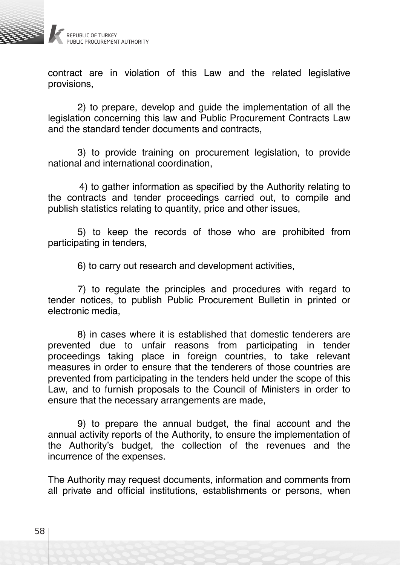

contract are in violation of this Law and the related legislative provisions,

2) to prepare, develop and guide the implementation of all the legislation concerning this law and Public Procurement Contracts Law and the standard tender documents and contracts,

3) to provide training on procurement legislation, to provide national and international coordination,

4) to gather information as specified by the Authority relating to the contracts and tender proceedings carried out, to compile and publish statistics relating to quantity, price and other issues,

5) to keep the records of those who are prohibited from participating in tenders,

6) to carry out research and development activities,

7) to regulate the principles and procedures with regard to tender notices, to publish Public Procurement Bulletin in printed or electronic media,

8) in cases where it is established that domestic tenderers are prevented due to unfair reasons from participating in tender proceedings taking place in foreign countries, to take relevant measures in order to ensure that the tenderers of those countries are prevented from participating in the tenders held under the scope of this Law, and to furnish proposals to the Council of Ministers in order to ensure that the necessary arrangements are made,

9) to prepare the annual budget, the final account and the annual activity reports of the Authority, to ensure the implementation of the Authority's budget, the collection of the revenues and the incurrence of the expenses.

The Authority may request documents, information and comments from all private and official institutions, establishments or persons, when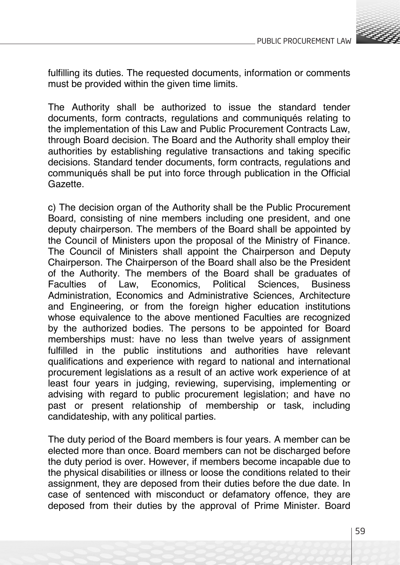

fulfilling its duties. The requested documents, information or comments must be provided within the given time limits.

The Authority shall be authorized to issue the standard tender documents, form contracts, regulations and communiqués relating to the implementation of this Law and Public Procurement Contracts Law, through Board decision. The Board and the Authority shall employ their authorities by establishing regulative transactions and taking specific decisions. Standard tender documents, form contracts, regulations and communiqués shall be put into force through publication in the Official Gazette.

c) The decision organ of the Authority shall be the Public Procurement Board, consisting of nine members including one president, and one deputy chairperson. The members of the Board shall be appointed by the Council of Ministers upon the proposal of the Ministry of Finance. The Council of Ministers shall appoint the Chairperson and Deputy Chairperson. The Chairperson of the Board shall also be the President of the Authority. The members of the Board shall be graduates of<br>Faculties of Law. Fconomics. Political Sciences. Business Law, Economics, Political Sciences, Business Administration, Economics and Administrative Sciences, Architecture and Engineering, or from the foreign higher education institutions whose equivalence to the above mentioned Faculties are recognized by the authorized bodies. The persons to be appointed for Board memberships must: have no less than twelve years of assignment fulfilled in the public institutions and authorities have relevant qualifications and experience with regard to national and international procurement legislations as a result of an active work experience of at least four years in judging, reviewing, supervising, implementing or advising with regard to public procurement legislation; and have no past or present relationship of membership or task, including candidateship, with any political parties.

The duty period of the Board members is four years. A member can be elected more than once. Board members can not be discharged before the duty period is over. However, if members become incapable due to the physical disabilities or illness or loose the conditions related to their assignment, they are deposed from their duties before the due date. In case of sentenced with misconduct or defamatory offence, they are deposed from their duties by the approval of Prime Minister. Board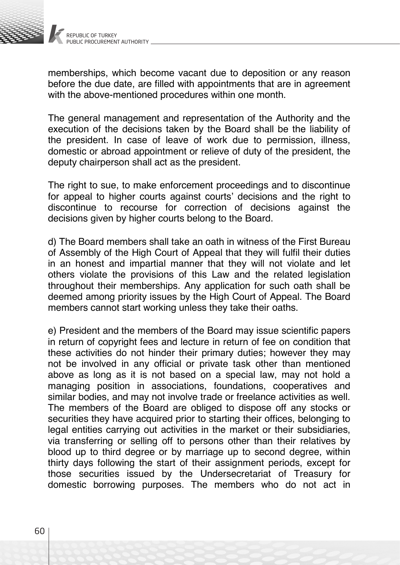

memberships, which become vacant due to deposition or any reason before the due date, are filled with appointments that are in agreement with the above-mentioned procedures within one month.

The general management and representation of the Authority and the execution of the decisions taken by the Board shall be the liability of the president. In case of leave of work due to permission, illness, domestic or abroad appointment or relieve of duty of the president, the deputy chairperson shall act as the president.

The right to sue, to make enforcement proceedings and to discontinue for appeal to higher courts against courts' decisions and the right to discontinue to recourse for correction of decisions against the decisions given by higher courts belong to the Board.

d) The Board members shall take an oath in witness of the First Bureau of Assembly of the High Court of Appeal that they will fulfil their duties in an honest and impartial manner that they will not violate and let others violate the provisions of this Law and the related legislation throughout their memberships. Any application for such oath shall be deemed among priority issues by the High Court of Appeal. The Board members cannot start working unless they take their oaths.

e) President and the members of the Board may issue scientific papers in return of copyright fees and lecture in return of fee on condition that these activities do not hinder their primary duties; however they may not be involved in any official or private task other than mentioned above as long as it is not based on a special law, may not hold a managing position in associations, foundations, cooperatives and similar bodies, and may not involve trade or freelance activities as well. The members of the Board are obliged to dispose off any stocks or securities they have acquired prior to starting their offices, belonging to legal entities carrying out activities in the market or their subsidiaries, via transferring or selling off to persons other than their relatives by blood up to third degree or by marriage up to second degree, within thirty days following the start of their assignment periods, except for those securities issued by the Undersecretariat of Treasury for domestic borrowing purposes. The members who do not act in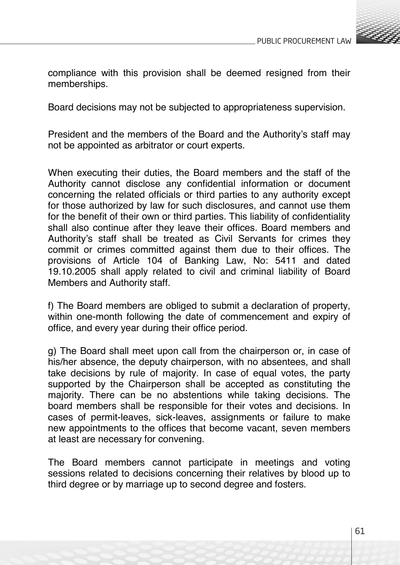

compliance with this provision shall be deemed resigned from their memberships.

Board decisions may not be subjected to appropriateness supervision.

President and the members of the Board and the Authority's staff may not be appointed as arbitrator or court experts.

When executing their duties, the Board members and the staff of the Authority cannot disclose any confidential information or document concerning the related officials or third parties to any authority except for those authorized by law for such disclosures, and cannot use them for the benefit of their own or third parties. This liability of confidentiality shall also continue after they leave their offices. Board members and Authority's staff shall be treated as Civil Servants for crimes they commit or crimes committed against them due to their offices. The provisions of Article 104 of Banking Law, No: 5411 and dated 19.10.2005 shall apply related to civil and criminal liability of Board Members and Authority staff.

f) The Board members are obliged to submit a declaration of property, within one-month following the date of commencement and expiry of office, and every year during their office period.

g) The Board shall meet upon call from the chairperson or, in case of his/her absence, the deputy chairperson, with no absentees, and shall take decisions by rule of majority. In case of equal votes, the party supported by the Chairperson shall be accepted as constituting the majority. There can be no abstentions while taking decisions. The board members shall be responsible for their votes and decisions. In cases of permit-leaves, sick-leaves, assignments or failure to make new appointments to the offices that become vacant, seven members at least are necessary for convening.

The Board members cannot participate in meetings and voting sessions related to decisions concerning their relatives by blood up to third degree or by marriage up to second degree and fosters.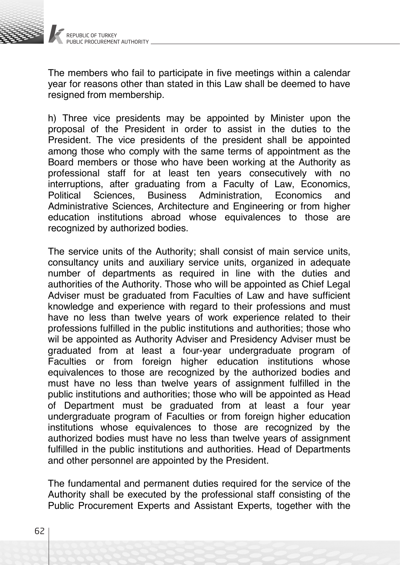

The members who fail to participate in five meetings within a calendar year for reasons other than stated in this Law shall be deemed to have resigned from membership.

h) Three vice presidents may be appointed by Minister upon the proposal of the President in order to assist in the duties to the President. The vice presidents of the president shall be appointed among those who comply with the same terms of appointment as the Board members or those who have been working at the Authority as professional staff for at least ten years consecutively with no interruptions, after graduating from a Faculty of Law, Economics, Administration, Economics Administrative Sciences, Architecture and Engineering or from higher education institutions abroad whose equivalences to those are recognized by authorized bodies.

The service units of the Authority; shall consist of main service units, consultancy units and auxiliary service units, organized in adequate number of departments as required in line with the duties and authorities of the Authority. Those who will be appointed as Chief Legal Adviser must be graduated from Faculties of Law and have sufficient knowledge and experience with regard to their professions and must have no less than twelve years of work experience related to their professions fulfilled in the public institutions and authorities; those who wil be appointed as Authority Adviser and Presidency Adviser must be graduated from at least a four-year undergraduate program of Faculties or from foreign higher education institutions whose equivalences to those are recognized by the authorized bodies and must have no less than twelve years of assignment fulfilled in the public institutions and authorities; those who will be appointed as Head of Department must be graduated from at least a four year undergraduate program of Faculties or from foreign higher education institutions whose equivalences to those are recognized by the authorized bodies must have no less than twelve years of assignment fulfilled in the public institutions and authorities. Head of Departments and other personnel are appointed by the President.

The fundamental and permanent duties required for the service of the Authority shall be executed by the professional staff consisting of the Public Procurement Experts and Assistant Experts, together with the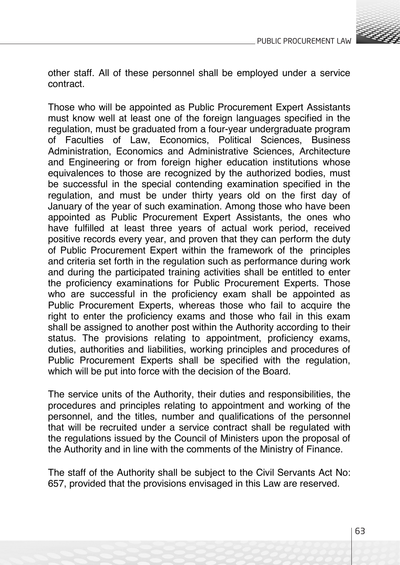

other staff. All of these personnel shall be employed under a service contract.

Those who will be appointed as Public Procurement Expert Assistants must know well at least one of the foreign languages specified in the regulation, must be graduated from a four-year undergraduate program of Faculties of Law, Economics, Political Sciences, Business Administration, Economics and Administrative Sciences, Architecture and Engineering or from foreign higher education institutions whose equivalences to those are recognized by the authorized bodies, must be successful in the special contending examination specified in the regulation, and must be under thirty years old on the first day of January of the year of such examination. Among those who have been appointed as Public Procurement Expert Assistants, the ones who have fulfilled at least three years of actual work period, received positive records every year, and proven that they can perform the duty of Public Procurement Expert within the framework of the principles and criteria set forth in the regulation such as performance during work and during the participated training activities shall be entitled to enter the proficiency examinations for Public Procurement Experts. Those who are successful in the proficiency exam shall be appointed as Public Procurement Experts, whereas those who fail to acquire the right to enter the proficiency exams and those who fail in this exam shall be assigned to another post within the Authority according to their status. The provisions relating to appointment, proficiency exams, duties, authorities and liabilities, working principles and procedures of Public Procurement Experts shall be specified with the regulation, which will be put into force with the decision of the Board.

The service units of the Authority, their duties and responsibilities, the procedures and principles relating to appointment and working of the personnel, and the titles, number and qualifications of the personnel that will be recruited under a service contract shall be regulated with the regulations issued by the Council of Ministers upon the proposal of the Authority and in line with the comments of the Ministry of Finance.

The staff of the Authority shall be subject to the Civil Servants Act No: 657, provided that the provisions envisaged in this Law are reserved.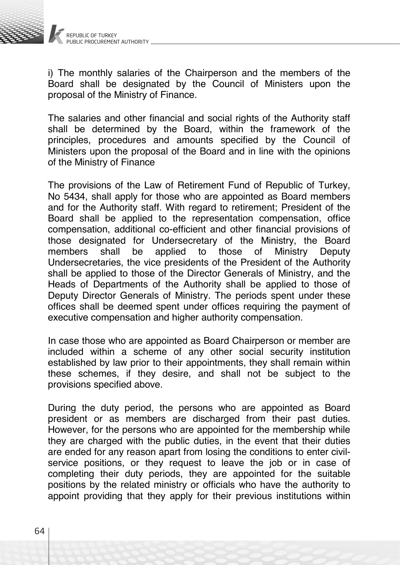

i) The monthly salaries of the Chairperson and the members of the Board shall be designated by the Council of Ministers upon the proposal of the Ministry of Finance.

The salaries and other financial and social rights of the Authority staff shall be determined by the Board, within the framework of the principles, procedures and amounts specified by the Council of Ministers upon the proposal of the Board and in line with the opinions of the Ministry of Finance

The provisions of the Law of Retirement Fund of Republic of Turkey, No 5434, shall apply for those who are appointed as Board members and for the Authority staff. With regard to retirement; President of the Board shall be applied to the representation compensation, office compensation, additional co-efficient and other financial provisions of those designated for Undersecretary of the Ministry, the Board Ministry Deputy Undersecretaries, the vice presidents of the President of the Authority shall be applied to those of the Director Generals of Ministry, and the Heads of Departments of the Authority shall be applied to those of Deputy Director Generals of Ministry. The periods spent under these offices shall be deemed spent under offices requiring the payment of executive compensation and higher authority compensation.

In case those who are appointed as Board Chairperson or member are included within a scheme of any other social security institution established by law prior to their appointments, they shall remain within these schemes, if they desire, and shall not be subject to the provisions specified above.

During the duty period, the persons who are appointed as Board president or as members are discharged from their past duties. However, for the persons who are appointed for the membership while they are charged with the public duties, in the event that their duties are ended for any reason apart from losing the conditions to enter civilservice positions, or they request to leave the job or in case of completing their duty periods, they are appointed for the suitable positions by the related ministry or officials who have the authority to appoint providing that they apply for their previous institutions within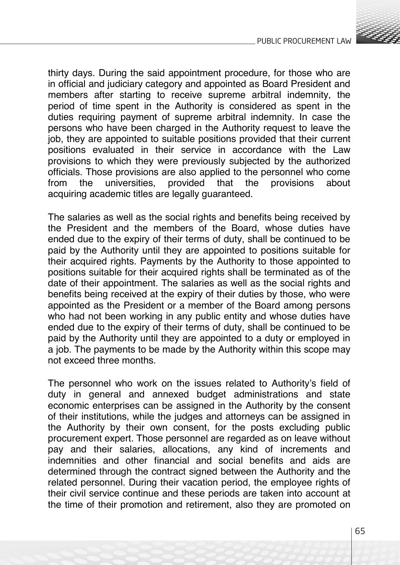

thirty days. During the said appointment procedure, for those who are in official and judiciary category and appointed as Board President and members after starting to receive supreme arbitral indemnity, the period of time spent in the Authority is considered as spent in the duties requiring payment of supreme arbitral indemnity. In case the persons who have been charged in the Authority request to leave the job, they are appointed to suitable positions provided that their current positions evaluated in their service in accordance with the Law provisions to which they were previously subjected by the authorized officials. Those provisions are also applied to the personnel who come universities. acquiring academic titles are legally guaranteed.

The salaries as well as the social rights and benefits being received by the President and the members of the Board, whose duties have ended due to the expiry of their terms of duty, shall be continued to be paid by the Authority until they are appointed to positions suitable for their acquired rights. Payments by the Authority to those appointed to positions suitable for their acquired rights shall be terminated as of the date of their appointment. The salaries as well as the social rights and benefits being received at the expiry of their duties by those, who were appointed as the President or a member of the Board among persons who had not been working in any public entity and whose duties have ended due to the expiry of their terms of duty, shall be continued to be paid by the Authority until they are appointed to a duty or employed in a job. The payments to be made by the Authority within this scope may not exceed three months.

The personnel who work on the issues related to Authority's field of duty in general and annexed budget administrations and state economic enterprises can be assigned in the Authority by the consent of their institutions, while the judges and attorneys can be assigned in the Authority by their own consent, for the posts excluding public procurement expert. Those personnel are regarded as on leave without pay and their salaries, allocations, any kind of increments and indemnities and other financial and social benefits and aids are determined through the contract signed between the Authority and the related personnel. During their vacation period, the employee rights of their civil service continue and these periods are taken into account at the time of their promotion and retirement, also they are promoted on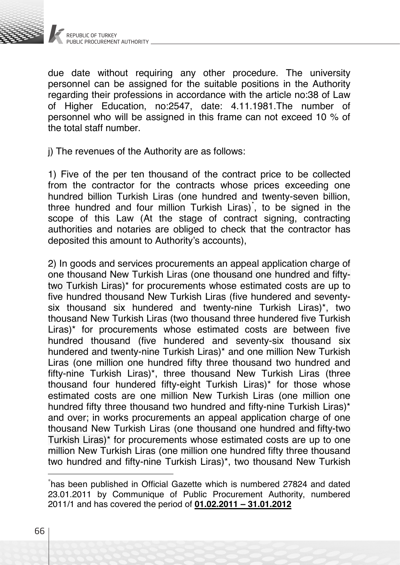

due date without requiring any other procedure. The university personnel can be assigned for the suitable positions in the Authority regarding their professions in accordance with the article no:38 of Law of Higher Education, no:2547, date: 4.11.1981.The number of personnel who will be assigned in this frame can not exceed 10 % of the total staff number.

j) The revenues of the Authority are as follows:

1) Five of the per ten thousand of the contract price to be collected from the contractor for the contracts whose prices exceeding one hundred billion Turkish Liras (one hundred and twenty-seven billion, three hundred and four million Turkish Liras)<sup>\*</sup>, to be signed in the scope of this Law (At the stage of contract signing, contracting authorities and notaries are obliged to check that the contractor has deposited this amount to Authority's accounts),

2) In goods and services procurements an appeal application charge of one thousand New Turkish Liras (one thousand one hundred and fiftytwo Turkish Liras)\* for procurements whose estimated costs are up to five hundred thousand New Turkish Liras (five hundered and seventysix thousand six hundered and twenty-nine Turkish Liras)\*, two thousand New Turkish Liras (two thousand three hundered five Turkish Liras)\* for procurements whose estimated costs are between five hundred thousand (five hundered and seventy-six thousand six hundered and twenty-nine Turkish Liras)\* and one million New Turkish Liras (one million one hundred fifty three thousand two hundred and fifty-nine Turkish Liras)\*, three thousand New Turkish Liras (three thousand four hundered fifty-eight Turkish Liras)\* for those whose estimated costs are one million New Turkish Liras (one million one hundred fifty three thousand two hundred and fifty-nine Turkish Liras)\* and over; in works procurements an appeal application charge of one thousand New Turkish Liras (one thousand one hundred and fifty-two Turkish Liras)\* for procurements whose estimated costs are up to one million New Turkish Liras (one million one hundred fifty three thousand two hundred and fifty-nine Turkish Liras)\*, two thousand New Turkish

<sup>\*</sup> has been published in Official Gazette which is numbered 27824 and dated 23.01.2011 by Communique of Public Procurement Authority, numbered 2011/1 and has covered the period of **01.02.2011 – 31.01.2012**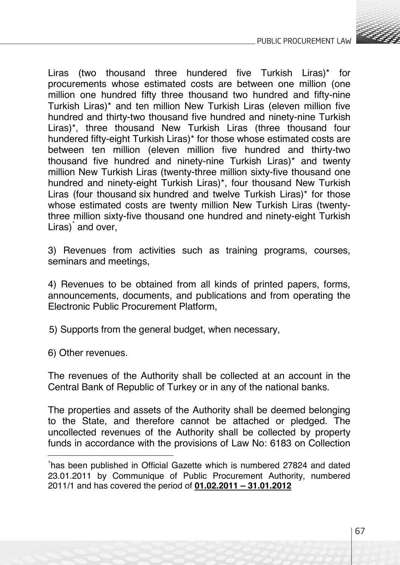

Liras (two thousand three hundered five Turkish Liras)\* for procurements whose estimated costs are between one million (one million one hundred fifty three thousand two hundred and fifty-nine Turkish Liras)\* and ten million New Turkish Liras (eleven million five hundred and thirty-two thousand five hundred and ninety-nine Turkish Liras)\*, three thousand New Turkish Liras (three thousand four hundered fifty-eight Turkish Liras)\* for those whose estimated costs are between ten million (eleven million five hundred and thirty-two thousand five hundred and ninety-nine Turkish Liras)\* and twenty million New Turkish Liras (twenty-three million sixty-five thousand one hundred and ninety-eight Turkish Liras)\*, four thousand New Turkish Liras (four thousand six hundred and twelve Turkish Liras)\* for those whose estimated costs are twenty million New Turkish Liras (twentythree million sixty-five thousand one hundred and ninety-eight Turkish Liras)<sup>\*</sup> and over,

3) Revenues from activities such as training programs, courses, seminars and meetings,

4) Revenues to be obtained from all kinds of printed papers, forms, announcements, documents, and publications and from operating the Electronic Public Procurement Platform,

5) Supports from the general budget, when necessary,

6) Other revenues.

The revenues of the Authority shall be collected at an account in the Central Bank of Republic of Turkey or in any of the national banks.

The properties and assets of the Authority shall be deemed belonging to the State, and therefore cannot be attached or pledged. The uncollected revenues of the Authority shall be collected by property funds in accordance with the provisions of Law No: 6183 on Collection

<sup>\*</sup> has been published in Official Gazette which is numbered 27824 and dated 23.01.2011 by Communique of Public Procurement Authority, numbered 2011/1 and has covered the period of **01.02.2011 – 31.01.2012**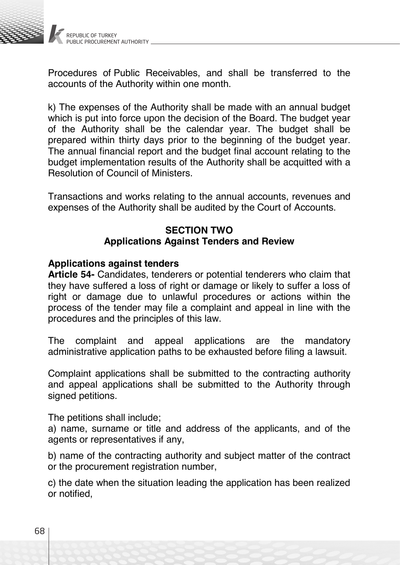

Procedures of Public Receivables, and shall be transferred to the accounts of the Authority within one month.

k) The expenses of the Authority shall be made with an annual budget which is put into force upon the decision of the Board. The budget year of the Authority shall be the calendar year. The budget shall be prepared within thirty days prior to the beginning of the budget year. The annual financial report and the budget final account relating to the budget implementation results of the Authority shall be acquitted with a Resolution of Council of Ministers.

Transactions and works relating to the annual accounts, revenues and expenses of the Authority shall be audited by the Court of Accounts.

## **SECTION TWO Applications Against Tenders and Review**

## **Applications against tenders**

**Article 54-** Candidates, tenderers or potential tenderers who claim that they have suffered a loss of right or damage or likely to suffer a loss of right or damage due to unlawful procedures or actions within the process of the tender may file a complaint and appeal in line with the procedures and the principles of this law.

The complaint and appeal applications are the mandatory administrative application paths to be exhausted before filing a lawsuit.

Complaint applications shall be submitted to the contracting authority and appeal applications shall be submitted to the Authority through signed petitions.

The petitions shall include;

a) name, surname or title and address of the applicants, and of the agents or representatives if any,

b) name of the contracting authority and subject matter of the contract or the procurement registration number,

c) the date when the situation leading the application has been realized or notified,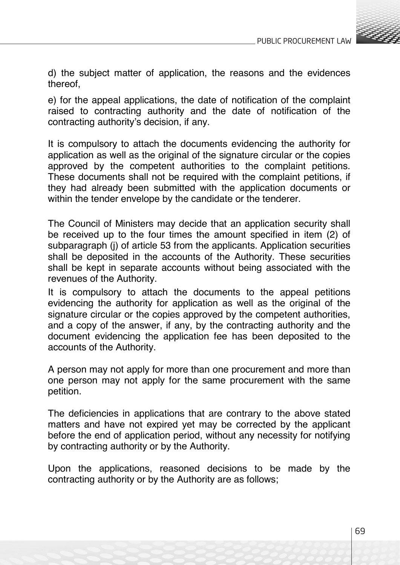

d) the subject matter of application, the reasons and the evidences thereof,

e) for the appeal applications, the date of notification of the complaint raised to contracting authority and the date of notification of the contracting authority's decision, if any.

It is compulsory to attach the documents evidencing the authority for application as well as the original of the signature circular or the copies approved by the competent authorities to the complaint petitions. These documents shall not be required with the complaint petitions, if they had already been submitted with the application documents or within the tender envelope by the candidate or the tenderer.

The Council of Ministers may decide that an application security shall be received up to the four times the amount specified in item (2) of subparagraph (j) of article 53 from the applicants. Application securities shall be deposited in the accounts of the Authority. These securities shall be kept in separate accounts without being associated with the revenues of the Authority.

It is compulsory to attach the documents to the appeal petitions evidencing the authority for application as well as the original of the signature circular or the copies approved by the competent authorities, and a copy of the answer, if any, by the contracting authority and the document evidencing the application fee has been deposited to the accounts of the Authority.

A person may not apply for more than one procurement and more than one person may not apply for the same procurement with the same petition.

The deficiencies in applications that are contrary to the above stated matters and have not expired yet may be corrected by the applicant before the end of application period, without any necessity for notifying by contracting authority or by the Authority.

Upon the applications, reasoned decisions to be made by the contracting authority or by the Authority are as follows;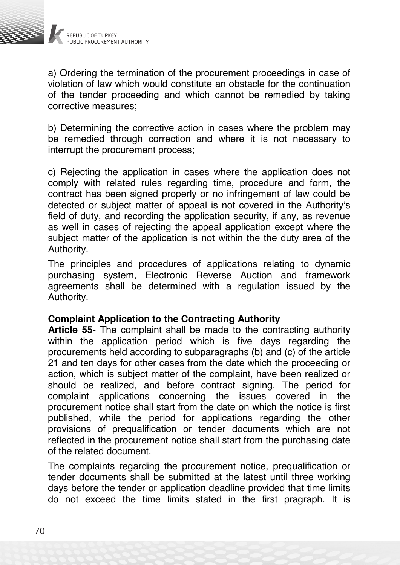

a) Ordering the termination of the procurement proceedings in case of violation of law which would constitute an obstacle for the continuation of the tender proceeding and which cannot be remedied by taking corrective measures;

b) Determining the corrective action in cases where the problem may be remedied through correction and where it is not necessary to interrupt the procurement process;

c) Rejecting the application in cases where the application does not comply with related rules regarding time, procedure and form, the contract has been signed properly or no infringement of law could be detected or subject matter of appeal is not covered in the Authority's field of duty, and recording the application security, if any, as revenue as well in cases of rejecting the appeal application except where the subject matter of the application is not within the the duty area of the Authority.

The principles and procedures of applications relating to dynamic purchasing system, Electronic Reverse Auction and framework agreements shall be determined with a regulation issued by the Authority.

### **Complaint Application to the Contracting Authority**

**Article 55-** The complaint shall be made to the contracting authority within the application period which is five days regarding the procurements held according to subparagraphs (b) and (c) of the article 21 and ten days for other cases from the date which the proceeding or action, which is subject matter of the complaint, have been realized or should be realized, and before contract signing. The period for complaint applications concerning the issues covered in the procurement notice shall start from the date on which the notice is first published, while the period for applications regarding the other provisions of prequalification or tender documents which are not reflected in the procurement notice shall start from the purchasing date of the related document.

The complaints regarding the procurement notice, prequalification or tender documents shall be submitted at the latest until three working days before the tender or application deadline provided that time limits do not exceed the time limits stated in the first pragraph. It is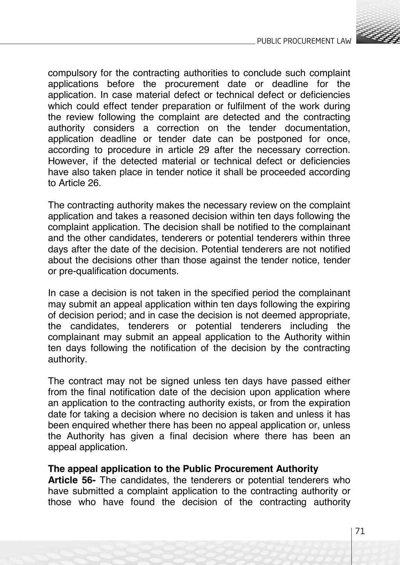

compulsory for the contracting authorities to conclude such complaint applications before the procurement date or deadline for the application. In case material defect or technical defect or deficiencies which could effect tender preparation or fulfilment of the work during the review following the complaint are detected and the contracting authority considers a correction on the tender documentation, application deadline or tender date can be postponed for once, according to procedure in article 29 after the necessary correction. However, if the detected material or technical defect or deficiencies have also taken place in tender notice it shall be proceeded according to Article 26.

The contracting authority makes the necessary review on the complaint application and takes a reasoned decision within ten days following the complaint application. The decision shall be notified to the complainant and the other candidates, tenderers or potential tenderers within three days after the date of the decision. Potential tenderers are not notified about the decisions other than those against the tender notice, tender or pre-qualification documents.

In case a decision is not taken in the specified period the complainant may submit an appeal application within ten days following the expiring of decision period; and in case the decision is not deemed appropriate, the candidates, tenderers or potential tenderers including the complainant may submit an appeal application to the Authority within ten days following the notification of the decision by the contracting authority.

The contract may not be signed unless ten days have passed either from the final notification date of the decision upon application where an application to the contracting authority exists, or from the expiration date for taking a decision where no decision is taken and unless it has been enquired whether there has been no appeal application or, unless the Authority has given a final decision where there has been an appeal application.

### **The appeal application to the Public Procurement Authority**

**Article 56-** The candidates, the tenderers or potential tenderers who have submitted a complaint application to the contracting authority or those who have found the decision of the contracting authority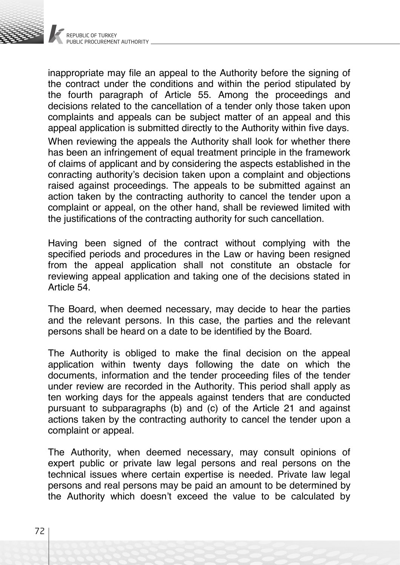

inappropriate may file an appeal to the Authority before the signing of the contract under the conditions and within the period stipulated by the fourth paragraph of Article 55. Among the proceedings and decisions related to the cancellation of a tender only those taken upon complaints and appeals can be subject matter of an appeal and this appeal application is submitted directly to the Authority within five days.

When reviewing the appeals the Authority shall look for whether there has been an infringement of equal treatment principle in the framework of claims of applicant and by considering the aspects established in the conracting authority's decision taken upon a complaint and objections raised against proceedings. The appeals to be submitted against an action taken by the contracting authority to cancel the tender upon a complaint or appeal, on the other hand, shall be reviewed limited with the justifications of the contracting authority for such cancellation.

Having been signed of the contract without complying with the specified periods and procedures in the Law or having been resigned from the appeal application shall not constitute an obstacle for reviewing appeal application and taking one of the decisions stated in Article 54.

The Board, when deemed necessary, may decide to hear the parties and the relevant persons. In this case, the parties and the relevant persons shall be heard on a date to be identified by the Board.

The Authority is obliged to make the final decision on the appeal application within twenty days following the date on which the documents, information and the tender proceeding files of the tender under review are recorded in the Authority. This period shall apply as ten working days for the appeals against tenders that are conducted pursuant to subparagraphs (b) and (c) of the Article 21 and against actions taken by the contracting authority to cancel the tender upon a complaint or appeal.

The Authority, when deemed necessary, may consult opinions of expert public or private law legal persons and real persons on the technical issues where certain expertise is needed. Private law legal persons and real persons may be paid an amount to be determined by the Authority which doesn't exceed the value to be calculated by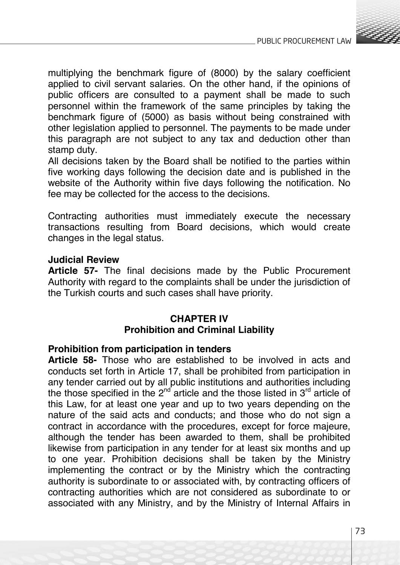

multiplying the benchmark figure of (8000) by the salary coefficient applied to civil servant salaries. On the other hand, if the opinions of public officers are consulted to a payment shall be made to such personnel within the framework of the same principles by taking the benchmark figure of (5000) as basis without being constrained with other legislation applied to personnel. The payments to be made under this paragraph are not subject to any tax and deduction other than stamp duty.

All decisions taken by the Board shall be notified to the parties within five working days following the decision date and is published in the website of the Authority within five days following the notification. No fee may be collected for the access to the decisions.

Contracting authorities must immediately execute the necessary transactions resulting from Board decisions, which would create changes in the legal status.

#### **Judicial Review**

**Article 57-** The final decisions made by the Public Procurement Authority with regard to the complaints shall be under the jurisdiction of the Turkish courts and such cases shall have priority.

## **CHAPTER IV Prohibition and Criminal Liability**

#### **Prohibition from participation in tenders**

**Article 58-** Those who are established to be involved in acts and conducts set forth in Article 17, shall be prohibited from participation in any tender carried out by all public institutions and authorities including the those specified in the  $2^{nd}$  article and the those listed in  $3^{rd}$  article of this Law, for at least one year and up to two years depending on the nature of the said acts and conducts; and those who do not sign a contract in accordance with the procedures, except for force majeure, although the tender has been awarded to them, shall be prohibited likewise from participation in any tender for at least six months and up to one year. Prohibition decisions shall be taken by the Ministry implementing the contract or by the Ministry which the contracting authority is subordinate to or associated with, by contracting officers of contracting authorities which are not considered as subordinate to or associated with any Ministry, and by the Ministry of Internal Affairs in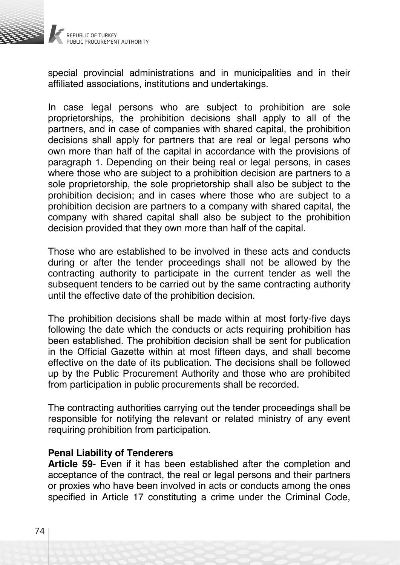

special provincial administrations and in municipalities and in their affiliated associations, institutions and undertakings.

In case legal persons who are subject to prohibition are sole proprietorships, the prohibition decisions shall apply to all of the partners, and in case of companies with shared capital, the prohibition decisions shall apply for partners that are real or legal persons who own more than half of the capital in accordance with the provisions of paragraph 1. Depending on their being real or legal persons, in cases where those who are subject to a prohibition decision are partners to a sole proprietorship, the sole proprietorship shall also be subject to the prohibition decision; and in cases where those who are subject to a prohibition decision are partners to a company with shared capital, the company with shared capital shall also be subject to the prohibition decision provided that they own more than half of the capital.

Those who are established to be involved in these acts and conducts during or after the tender proceedings shall not be allowed by the contracting authority to participate in the current tender as well the subsequent tenders to be carried out by the same contracting authority until the effective date of the prohibition decision.

The prohibition decisions shall be made within at most forty-five days following the date which the conducts or acts requiring prohibition has been established. The prohibition decision shall be sent for publication in the Official Gazette within at most fifteen days, and shall become effective on the date of its publication. The decisions shall be followed up by the Public Procurement Authority and those who are prohibited from participation in public procurements shall be recorded.

The contracting authorities carrying out the tender proceedings shall be responsible for notifying the relevant or related ministry of any event requiring prohibition from participation.

#### **Penal Liability of Tenderers**

**Article 59-** Even if it has been established after the completion and acceptance of the contract, the real or legal persons and their partners or proxies who have been involved in acts or conducts among the ones specified in Article 17 constituting a crime under the Criminal Code,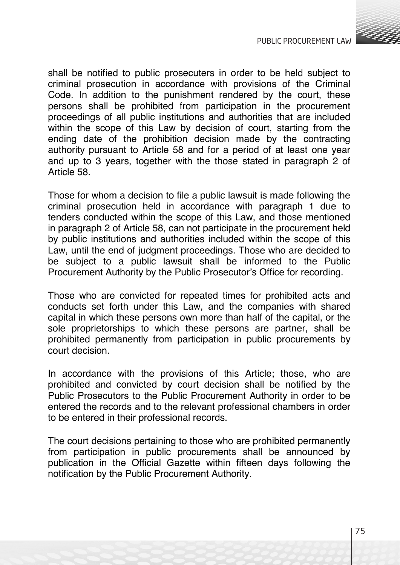

shall be notified to public prosecuters in order to be held subject to criminal prosecution in accordance with provisions of the Criminal Code. In addition to the punishment rendered by the court, these persons shall be prohibited from participation in the procurement proceedings of all public institutions and authorities that are included within the scope of this Law by decision of court, starting from the ending date of the prohibition decision made by the contracting authority pursuant to Article 58 and for a period of at least one year and up to 3 years, together with the those stated in paragraph 2 of Article 58.

Those for whom a decision to file a public lawsuit is made following the criminal prosecution held in accordance with paragraph 1 due to tenders conducted within the scope of this Law, and those mentioned in paragraph 2 of Article 58, can not participate in the procurement held by public institutions and authorities included within the scope of this Law, until the end of judgment proceedings. Those who are decided to be subject to a public lawsuit shall be informed to the Public Procurement Authority by the Public Prosecutor's Office for recording.

Those who are convicted for repeated times for prohibited acts and conducts set forth under this Law, and the companies with shared capital in which these persons own more than half of the capital, or the sole proprietorships to which these persons are partner, shall be prohibited permanently from participation in public procurements by court decision.

In accordance with the provisions of this Article; those, who are prohibited and convicted by court decision shall be notified by the Public Prosecutors to the Public Procurement Authority in order to be entered the records and to the relevant professional chambers in order to be entered in their professional records.

The court decisions pertaining to those who are prohibited permanently from participation in public procurements shall be announced by publication in the Official Gazette within fifteen days following the notification by the Public Procurement Authority.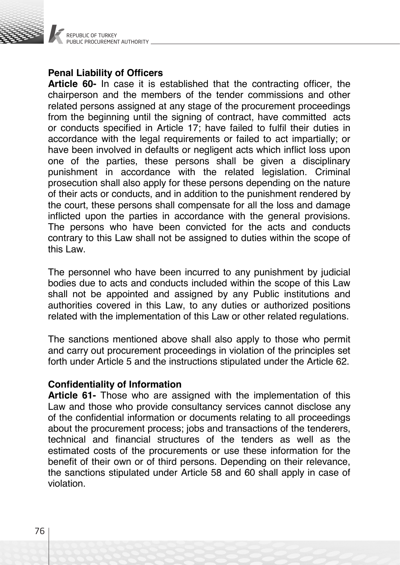

# **Penal Liability of Officers**

**Article 60-** In case it is established that the contracting officer, the chairperson and the members of the tender commissions and other related persons assigned at any stage of the procurement proceedings from the beginning until the signing of contract, have committed acts or conducts specified in Article 17; have failed to fulfil their duties in accordance with the legal requirements or failed to act impartially; or have been involved in defaults or negligent acts which inflict loss upon one of the parties, these persons shall be given a disciplinary punishment in accordance with the related legislation. Criminal prosecution shall also apply for these persons depending on the nature of their acts or conducts, and in addition to the punishment rendered by the court, these persons shall compensate for all the loss and damage inflicted upon the parties in accordance with the general provisions. The persons who have been convicted for the acts and conducts contrary to this Law shall not be assigned to duties within the scope of this Law.

The personnel who have been incurred to any punishment by judicial bodies due to acts and conducts included within the scope of this Law shall not be appointed and assigned by any Public institutions and authorities covered in this Law, to any duties or authorized positions related with the implementation of this Law or other related regulations.

The sanctions mentioned above shall also apply to those who permit and carry out procurement proceedings in violation of the principles set forth under Article 5 and the instructions stipulated under the Article 62.

#### **Confidentiality of Information**

**Article 61-** Those who are assigned with the implementation of this Law and those who provide consultancy services cannot disclose any of the confidential information or documents relating to all proceedings about the procurement process; jobs and transactions of the tenderers, technical and financial structures of the tenders as well as the estimated costs of the procurements or use these information for the benefit of their own or of third persons. Depending on their relevance, the sanctions stipulated under Article 58 and 60 shall apply in case of violation.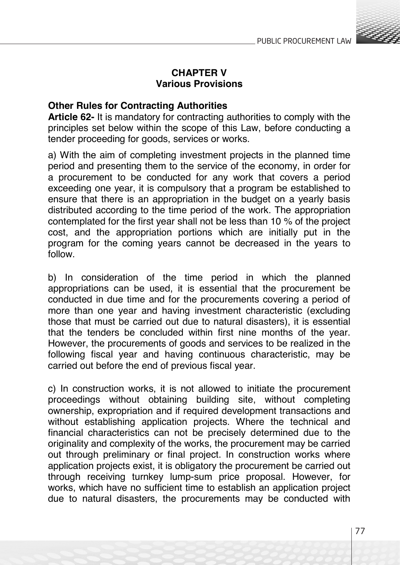

# **CHAPTER V Various Provisions**

# **Other Rules for Contracting Authorities**

**Article 62-** It is mandatory for contracting authorities to comply with the principles set below within the scope of this Law, before conducting a tender proceeding for goods, services or works.

a) With the aim of completing investment projects in the planned time period and presenting them to the service of the economy, in order for a procurement to be conducted for any work that covers a period exceeding one year, it is compulsory that a program be established to ensure that there is an appropriation in the budget on a yearly basis distributed according to the time period of the work. The appropriation contemplated for the first year shall not be less than 10 % of the project cost, and the appropriation portions which are initially put in the program for the coming years cannot be decreased in the years to follow.

b) In consideration of the time period in which the planned appropriations can be used, it is essential that the procurement be conducted in due time and for the procurements covering a period of more than one year and having investment characteristic (excluding those that must be carried out due to natural disasters), it is essential that the tenders be concluded within first nine months of the year. However, the procurements of goods and services to be realized in the following fiscal year and having continuous characteristic, may be carried out before the end of previous fiscal year.

c) In construction works, it is not allowed to initiate the procurement proceedings without obtaining building site, without completing ownership, expropriation and if required development transactions and without establishing application projects. Where the technical and financial characteristics can not be precisely determined due to the originality and complexity of the works, the procurement may be carried out through preliminary or final project. In construction works where application projects exist, it is obligatory the procurement be carried out through receiving turnkey lump-sum price proposal. However, for works, which have no sufficient time to establish an application project due to natural disasters, the procurements may be conducted with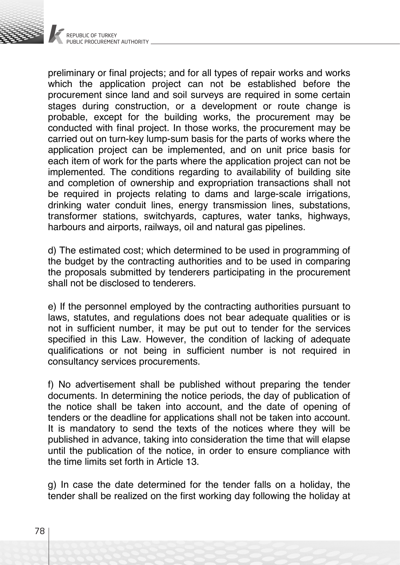

preliminary or final projects; and for all types of repair works and works which the application project can not be established before the procurement since land and soil surveys are required in some certain stages during construction, or a development or route change is probable, except for the building works, the procurement may be conducted with final project. In those works, the procurement may be carried out on turn-key lump-sum basis for the parts of works where the application project can be implemented, and on unit price basis for each item of work for the parts where the application project can not be implemented. The conditions regarding to availability of building site and completion of ownership and expropriation transactions shall not be required in projects relating to dams and large-scale irrigations. drinking water conduit lines, energy transmission lines, substations, transformer stations, switchyards, captures, water tanks, highways, harbours and airports, railways, oil and natural gas pipelines.

d) The estimated cost; which determined to be used in programming of the budget by the contracting authorities and to be used in comparing the proposals submitted by tenderers participating in the procurement shall not be disclosed to tenderers.

e) If the personnel employed by the contracting authorities pursuant to laws, statutes, and regulations does not bear adequate qualities or is not in sufficient number, it may be put out to tender for the services specified in this Law. However, the condition of lacking of adequate qualifications or not being in sufficient number is not required in consultancy services procurements.

f) No advertisement shall be published without preparing the tender documents. In determining the notice periods, the day of publication of the notice shall be taken into account, and the date of opening of tenders or the deadline for applications shall not be taken into account. It is mandatory to send the texts of the notices where they will be published in advance, taking into consideration the time that will elapse until the publication of the notice, in order to ensure compliance with the time limits set forth in Article 13.

g) In case the date determined for the tender falls on a holiday, the tender shall be realized on the first working day following the holiday at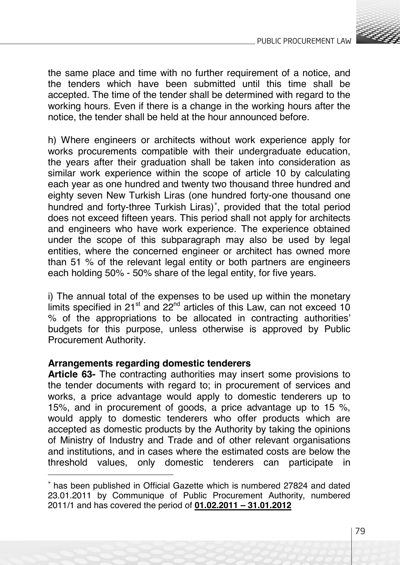

the same place and time with no further requirement of a notice, and the tenders which have been submitted until this time shall be accepted. The time of the tender shall be determined with regard to the working hours. Even if there is a change in the working hours after the notice, the tender shall be held at the hour announced before.

h) Where engineers or architects without work experience apply for works procurements compatible with their undergraduate education, the years after their graduation shall be taken into consideration as similar work experience within the scope of article 10 by calculating each year as one hundred and twenty two thousand three hundred and eighty seven New Turkish Liras (one hundred forty-one thousand one hundred and forty-three Turkish Liras)<sup>∗</sup> , provided that the total period does not exceed fifteen years. This period shall not apply for architects and engineers who have work experience. The experience obtained under the scope of this subparagraph may also be used by legal entities, where the concerned engineer or architect has owned more than 51 % of the relevant legal entity or both partners are engineers each holding 50% - 50% share of the legal entity, for five years.

i) The annual total of the expenses to be used up within the monetary limits specified in 21 $st$  and 22 $nd$  articles of this Law, can not exceed 10 % of the appropriations to be allocated in contracting authorities' budgets for this purpose, unless otherwise is approved by Public Procurement Authority.

# **Arrangements regarding domestic tenderers**

**Article 63-** The contracting authorities may insert some provisions to the tender documents with regard to; in procurement of services and works, a price advantage would apply to domestic tenderers up to 15%, and in procurement of goods, a price advantage up to 15 %, would apply to domestic tenderers who offer products which are accepted as domestic products by the Authority by taking the opinions of Ministry of Industry and Trade and of other relevant organisations and institutions, and in cases where the estimated costs are below the domestic tenderers can participate in

<sup>∗</sup> has been published in Official Gazette which is numbered 27824 and dated 23.01.2011 by Communique of Public Procurement Authority, numbered 2011/1 and has covered the period of **01.02.2011 – 31.01.2012**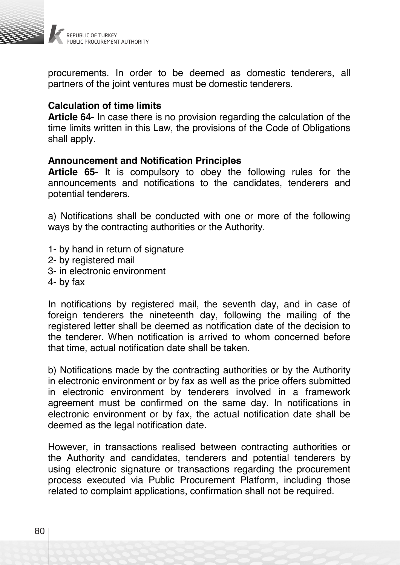

procurements. In order to be deemed as domestic tenderers, all partners of the joint ventures must be domestic tenderers.

# **Calculation of time limits**

**Article 64-** In case there is no provision regarding the calculation of the time limits written in this Law, the provisions of the Code of Obligations shall apply.

#### **Announcement and Notification Principles**

**Article 65-** It is compulsory to obey the following rules for the announcements and notifications to the candidates, tenderers and potential tenderers.

a) Notifications shall be conducted with one or more of the following ways by the contracting authorities or the Authority.

- 1- by hand in return of signature
- 2- by registered mail
- 3- in electronic environment
- 4- by fax

In notifications by registered mail, the seventh day, and in case of foreign tenderers the nineteenth day, following the mailing of the registered letter shall be deemed as notification date of the decision to the tenderer. When notification is arrived to whom concerned before that time, actual notification date shall be taken.

b) Notifications made by the contracting authorities or by the Authority in electronic environment or by fax as well as the price offers submitted in electronic environment by tenderers involved in a framework agreement must be confirmed on the same day. In notifications in electronic environment or by fax, the actual notification date shall be deemed as the legal notification date.

However, in transactions realised between contracting authorities or the Authority and candidates, tenderers and potential tenderers by using electronic signature or transactions regarding the procurement process executed via Public Procurement Platform, including those related to complaint applications, confirmation shall not be required.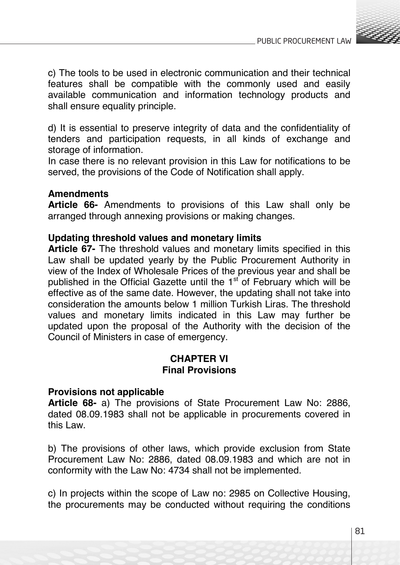

c) The tools to be used in electronic communication and their technical features shall be compatible with the commonly used and easily available communication and information technology products and shall ensure equality principle.

d) It is essential to preserve integrity of data and the confidentiality of tenders and participation requests, in all kinds of exchange and storage of information.

In case there is no relevant provision in this Law for notifications to be served, the provisions of the Code of Notification shall apply.

# **Amendments**

**Article 66-** Amendments to provisions of this Law shall only be arranged through annexing provisions or making changes.

# **Updating threshold values and monetary limits**

**Article 67-** The threshold values and monetary limits specified in this Law shall be updated yearly by the Public Procurement Authority in view of the Index of Wholesale Prices of the previous year and shall be published in the Official Gazette until the  $1<sup>st</sup>$  of February which will be effective as of the same date. However, the updating shall not take into consideration the amounts below 1 million Turkish Liras. The threshold values and monetary limits indicated in this Law may further be updated upon the proposal of the Authority with the decision of the Council of Ministers in case of emergency.

# **CHAPTER VI Final Provisions**

#### **Provisions not applicable**

**Article 68-** a) The provisions of State Procurement Law No: 2886, dated 08.09.1983 shall not be applicable in procurements covered in this Law.

b) The provisions of other laws, which provide exclusion from State Procurement Law No: 2886, dated 08.09.1983 and which are not in conformity with the Law No: 4734 shall not be implemented.

c) In projects within the scope of Law no: 2985 on Collective Housing, the procurements may be conducted without requiring the conditions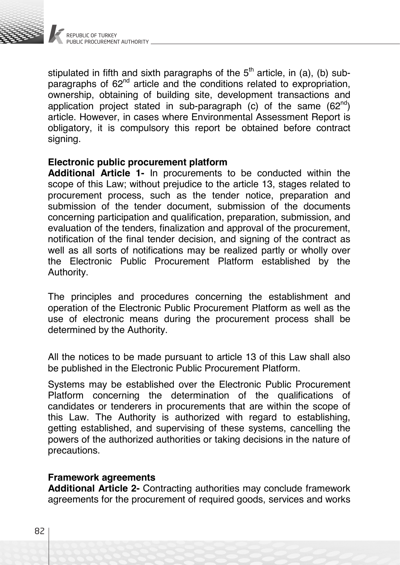

stipulated in fifth and sixth paragraphs of the  $5<sup>th</sup>$  article, in (a), (b) subparagraphs of 62<sup>nd</sup> article and the conditions related to expropriation, ownership, obtaining of building site, development transactions and application project stated in sub-paragraph (c) of the same  $(62^{nd})$ article. However, in cases where Environmental Assessment Report is obligatory, it is compulsory this report be obtained before contract signing.

## **Electronic public procurement platform**

**Additional Article 1-** In procurements to be conducted within the scope of this Law; without prejudice to the article 13, stages related to procurement process, such as the tender notice, preparation and submission of the tender document, submission of the documents concerning participation and qualification, preparation, submission, and evaluation of the tenders, finalization and approval of the procurement, notification of the final tender decision, and signing of the contract as well as all sorts of notifications may be realized partly or wholly over the Electronic Public Procurement Platform established by the Authority.

The principles and procedures concerning the establishment and operation of the Electronic Public Procurement Platform as well as the use of electronic means during the procurement process shall be determined by the Authority.

All the notices to be made pursuant to article 13 of this Law shall also be published in the Electronic Public Procurement Platform.

Systems may be established over the Electronic Public Procurement Platform concerning the determination of the qualifications of candidates or tenderers in procurements that are within the scope of this Law. The Authority is authorized with regard to establishing, getting established, and supervising of these systems, cancelling the powers of the authorized authorities or taking decisions in the nature of precautions.

#### **Framework agreements**

**Additional Article 2-** Contracting authorities may conclude framework agreements for the procurement of required goods, services and works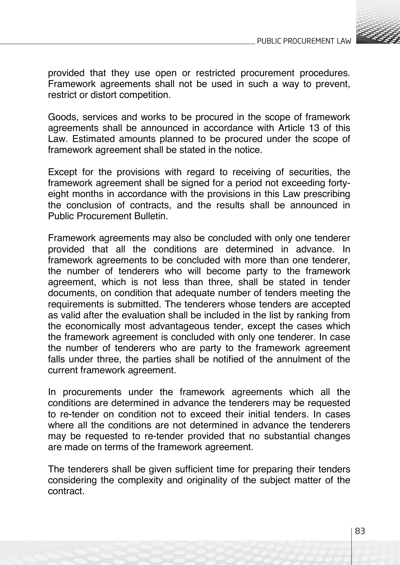

provided that they use open or restricted procurement procedures. Framework agreements shall not be used in such a way to prevent, restrict or distort competition.

Goods, services and works to be procured in the scope of framework agreements shall be announced in accordance with Article 13 of this Law. Estimated amounts planned to be procured under the scope of framework agreement shall be stated in the notice.

Except for the provisions with regard to receiving of securities, the framework agreement shall be signed for a period not exceeding fortyeight months in accordance with the provisions in this Law prescribing the conclusion of contracts, and the results shall be announced in Public Procurement Bulletin.

Framework agreements may also be concluded with only one tenderer provided that all the conditions are determined in advance. In framework agreements to be concluded with more than one tenderer, the number of tenderers who will become party to the framework agreement, which is not less than three, shall be stated in tender documents, on condition that adequate number of tenders meeting the requirements is submitted. The tenderers whose tenders are accepted as valid after the evaluation shall be included in the list by ranking from the economically most advantageous tender, except the cases which the framework agreement is concluded with only one tenderer. In case the number of tenderers who are party to the framework agreement falls under three, the parties shall be notified of the annulment of the current framework agreement.

In procurements under the framework agreements which all the conditions are determined in advance the tenderers may be requested to re-tender on condition not to exceed their initial tenders. In cases where all the conditions are not determined in advance the tenderers may be requested to re-tender provided that no substantial changes are made on terms of the framework agreement.

The tenderers shall be given sufficient time for preparing their tenders considering the complexity and originality of the subject matter of the contract.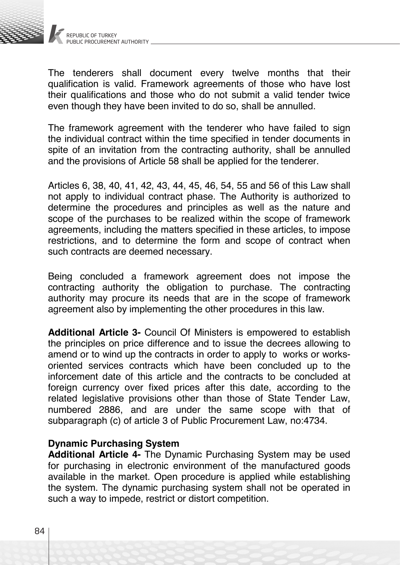

The tenderers shall document every twelve months that their qualification is valid. Framework agreements of those who have lost their qualifications and those who do not submit a valid tender twice even though they have been invited to do so, shall be annulled.

The framework agreement with the tenderer who have failed to sign the individual contract within the time specified in tender documents in spite of an invitation from the contracting authority, shall be annulled and the provisions of Article 58 shall be applied for the tenderer.

Articles 6, 38, 40, 41, 42, 43, 44, 45, 46, 54, 55 and 56 of this Law shall not apply to individual contract phase. The Authority is authorized to determine the procedures and principles as well as the nature and scope of the purchases to be realized within the scope of framework agreements, including the matters specified in these articles, to impose restrictions, and to determine the form and scope of contract when such contracts are deemed necessary.

Being concluded a framework agreement does not impose the contracting authority the obligation to purchase. The contracting authority may procure its needs that are in the scope of framework agreement also by implementing the other procedures in this law.

**Additional Article 3-** Council Of Ministers is empowered to establish the principles on price difference and to issue the decrees allowing to amend or to wind up the contracts in order to apply to works or worksoriented services contracts which have been concluded up to the inforcement date of this article and the contracts to be concluded at foreign currency over fixed prices after this date, according to the related legislative provisions other than those of State Tender Law, numbered 2886, and are under the same scope with that of subparagraph (c) of article 3 of Public Procurement Law, no:4734.

#### **Dynamic Purchasing System**

**Additional Article 4-** The Dynamic Purchasing System may be used for purchasing in electronic environment of the manufactured goods available in the market. Open procedure is applied while establishing the system. The dynamic purchasing system shall not be operated in such a way to impede, restrict or distort competition.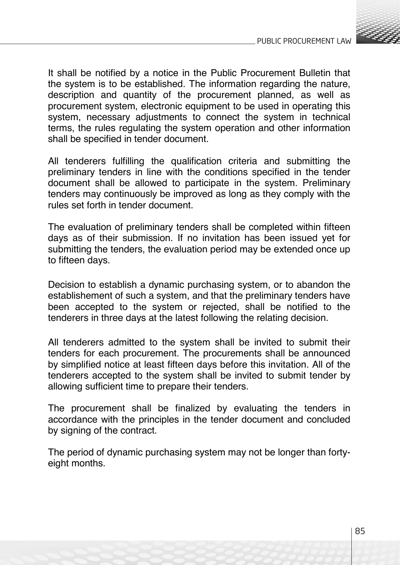

It shall be notified by a notice in the Public Procurement Bulletin that the system is to be established. The information regarding the nature, description and quantity of the procurement planned, as well as procurement system, electronic equipment to be used in operating this system, necessary adjustments to connect the system in technical terms, the rules regulating the system operation and other information shall be specified in tender document.

All tenderers fulfilling the qualification criteria and submitting the preliminary tenders in line with the conditions specified in the tender document shall be allowed to participate in the system. Preliminary tenders may continuously be improved as long as they comply with the rules set forth in tender document.

The evaluation of preliminary tenders shall be completed within fifteen days as of their submission. If no invitation has been issued yet for submitting the tenders, the evaluation period may be extended once up to fifteen days.

Decision to establish a dynamic purchasing system, or to abandon the establishement of such a system, and that the preliminary tenders have been accepted to the system or rejected, shall be notified to the tenderers in three days at the latest following the relating decision.

All tenderers admitted to the system shall be invited to submit their tenders for each procurement. The procurements shall be announced by simplified notice at least fifteen days before this invitation. All of the tenderers accepted to the system shall be invited to submit tender by allowing sufficient time to prepare their tenders.

The procurement shall be finalized by evaluating the tenders in accordance with the principles in the tender document and concluded by signing of the contract.

The period of dynamic purchasing system may not be longer than fortyeight months.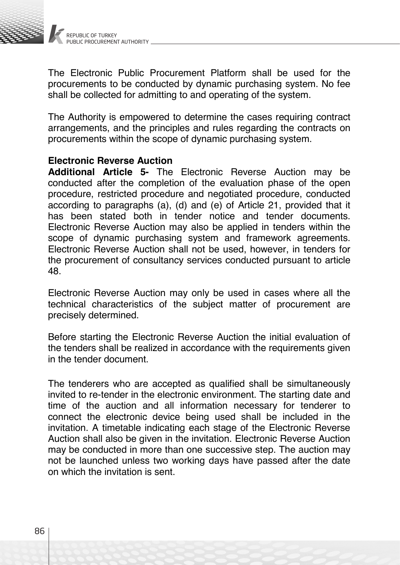

The Electronic Public Procurement Platform shall be used for the procurements to be conducted by dynamic purchasing system. No fee shall be collected for admitting to and operating of the system.

The Authority is empowered to determine the cases requiring contract arrangements, and the principles and rules regarding the contracts on procurements within the scope of dynamic purchasing system.

#### **Electronic Reverse Auction**

**Additional Article 5-** The Electronic Reverse Auction may be conducted after the completion of the evaluation phase of the open procedure, restricted procedure and negotiated procedure, conducted according to paragraphs (a), (d) and (e) of Article 21, provided that it has been stated both in tender notice and tender documents. Electronic Reverse Auction may also be applied in tenders within the scope of dynamic purchasing system and framework agreements. Electronic Reverse Auction shall not be used, however, in tenders for the procurement of consultancy services conducted pursuant to article 48.

Electronic Reverse Auction may only be used in cases where all the technical characteristics of the subject matter of procurement are precisely determined.

Before starting the Electronic Reverse Auction the initial evaluation of the tenders shall be realized in accordance with the requirements given in the tender document.

The tenderers who are accepted as qualified shall be simultaneously invited to re-tender in the electronic environment. The starting date and time of the auction and all information necessary for tenderer to connect the electronic device being used shall be included in the invitation. A timetable indicating each stage of the Electronic Reverse Auction shall also be given in the invitation. Electronic Reverse Auction may be conducted in more than one successive step. The auction may not be launched unless two working days have passed after the date on which the invitation is sent.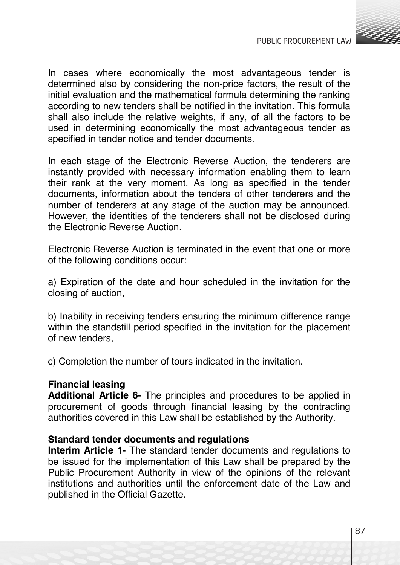

In cases where economically the most advantageous tender is determined also by considering the non-price factors, the result of the initial evaluation and the mathematical formula determining the ranking according to new tenders shall be notified in the invitation. This formula shall also include the relative weights, if any, of all the factors to be used in determining economically the most advantageous tender as specified in tender notice and tender documents.

In each stage of the Electronic Reverse Auction, the tenderers are instantly provided with necessary information enabling them to learn their rank at the very moment. As long as specified in the tender documents, information about the tenders of other tenderers and the number of tenderers at any stage of the auction may be announced. However, the identities of the tenderers shall not be disclosed during the Electronic Reverse Auction.

Electronic Reverse Auction is terminated in the event that one or more of the following conditions occur:

a) Expiration of the date and hour scheduled in the invitation for the closing of auction,

b) Inability in receiving tenders ensuring the minimum difference range within the standstill period specified in the invitation for the placement of new tenders,

c) Completion the number of tours indicated in the invitation.

#### **Financial leasing**

**Additional Article 6-** The principles and procedures to be applied in procurement of goods through financial leasing by the contracting authorities covered in this Law shall be established by the Authority.

#### **Standard tender documents and regulations**

**Interim Article 1-** The standard tender documents and regulations to be issued for the implementation of this Law shall be prepared by the Public Procurement Authority in view of the opinions of the relevant institutions and authorities until the enforcement date of the Law and published in the Official Gazette.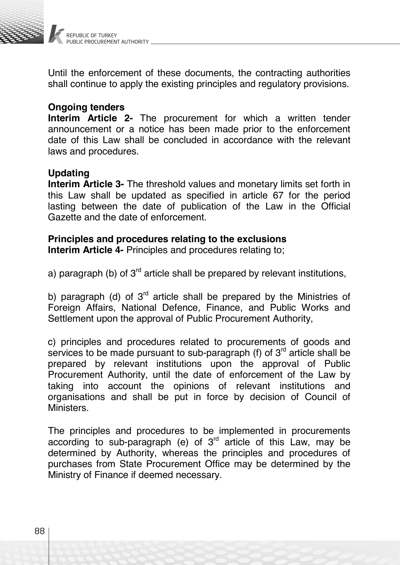

Until the enforcement of these documents, the contracting authorities shall continue to apply the existing principles and regulatory provisions.

#### **Ongoing tenders**

**Interim Article 2-** The procurement for which a written tender announcement or a notice has been made prior to the enforcement date of this Law shall be concluded in accordance with the relevant laws and procedures.

# **Updating**

**Interim Article 3-** The threshold values and monetary limits set forth in this Law shall be updated as specified in article 67 for the period lasting between the date of publication of the Law in the Official Gazette and the date of enforcement.

# **Principles and procedures relating to the exclusions**

**Interim Article 4-** Principles and procedures relating to;

a) paragraph (b) of  $3<sup>rd</sup>$  article shall be prepared by relevant institutions,

b) paragraph (d) of  $3<sup>rd</sup>$  article shall be prepared by the Ministries of Foreign Affairs, National Defence, Finance, and Public Works and Settlement upon the approval of Public Procurement Authority,

c) principles and procedures related to procurements of goods and services to be made pursuant to sub-paragraph (f) of  $3<sup>rd</sup>$  article shall be prepared by relevant institutions upon the approval of Public Procurement Authority, until the date of enforcement of the Law by taking into account the opinions of relevant institutions and organisations and shall be put in force by decision of Council of Ministers.

The principles and procedures to be implemented in procurements according to sub-paragraph (e) of  $3<sup>rd</sup>$  article of this Law, may be determined by Authority, whereas the principles and procedures of purchases from State Procurement Office may be determined by the Ministry of Finance if deemed necessary.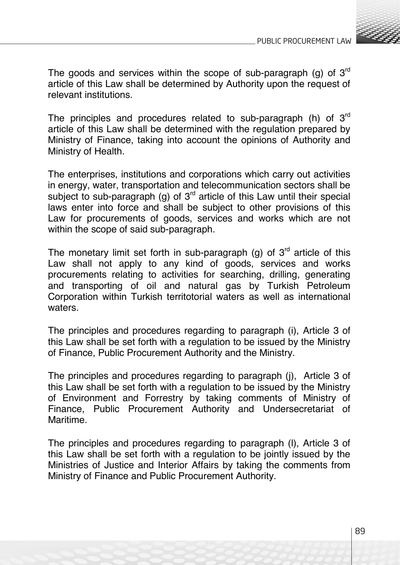

The goods and services within the scope of sub-paragraph (g) of  $3<sup>rd</sup>$ article of this Law shall be determined by Authority upon the request of relevant institutions.

The principles and procedures related to sub-paragraph (h) of  $3<sup>rd</sup>$ article of this Law shall be determined with the regulation prepared by Ministry of Finance, taking into account the opinions of Authority and Ministry of Health.

The enterprises, institutions and corporations which carry out activities in energy, water, transportation and telecommunication sectors shall be subject to sub-paragraph (g) of  $3<sup>rd</sup>$  article of this Law until their special laws enter into force and shall be subject to other provisions of this Law for procurements of goods, services and works which are not within the scope of said sub-paragraph.

The monetary limit set forth in sub-paragraph (g) of  $3<sup>rd</sup>$  article of this Law shall not apply to any kind of goods, services and works procurements relating to activities for searching, drilling, generating and transporting of oil and natural gas by Turkish Petroleum Corporation within Turkish territotorial waters as well as international waters.

The principles and procedures regarding to paragraph (i), Article 3 of this Law shall be set forth with a regulation to be issued by the Ministry of Finance, Public Procurement Authority and the Ministry.

The principles and procedures regarding to paragraph (j), Article 3 of this Law shall be set forth with a regulation to be issued by the Ministry of Environment and Forrestry by taking comments of Ministry of Finance, Public Procurement Authority and Undersecretariat of Maritime.

The principles and procedures regarding to paragraph (l), Article 3 of this Law shall be set forth with a regulation to be jointly issued by the Ministries of Justice and Interior Affairs by taking the comments from Ministry of Finance and Public Procurement Authority.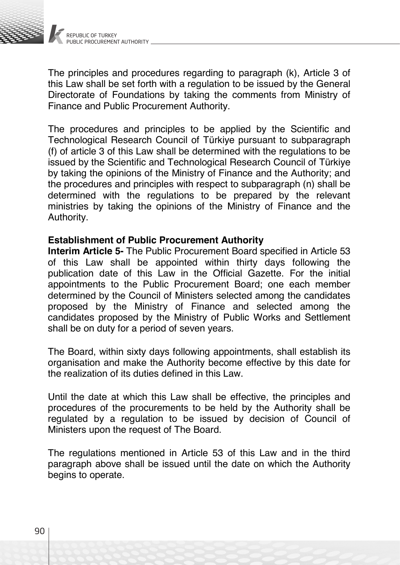

The principles and procedures regarding to paragraph (k), Article 3 of this Law shall be set forth with a regulation to be issued by the General Directorate of Foundations by taking the comments from Ministry of Finance and Public Procurement Authority.

The procedures and principles to be applied by the Scientific and Technological Research Council of Türkiye pursuant to subparagraph (f) of article 3 of this Law shall be determined with the regulations to be issued by the Scientific and Technological Research Council of Türkiye by taking the opinions of the Ministry of Finance and the Authority; and the procedures and principles with respect to subparagraph (n) shall be determined with the regulations to be prepared by the relevant ministries by taking the opinions of the Ministry of Finance and the Authority.

#### **Establishment of Public Procurement Authority**

**Interim Article 5-** The Public Procurement Board specified in Article 53 of this Law shall be appointed within thirty days following the publication date of this Law in the Official Gazette. For the initial appointments to the Public Procurement Board; one each member determined by the Council of Ministers selected among the candidates proposed by the Ministry of Finance and selected among the candidates proposed by the Ministry of Public Works and Settlement shall be on duty for a period of seven years.

The Board, within sixty days following appointments, shall establish its organisation and make the Authority become effective by this date for the realization of its duties defined in this Law.

Until the date at which this Law shall be effective, the principles and procedures of the procurements to be held by the Authority shall be regulated by a regulation to be issued by decision of Council of Ministers upon the request of The Board.

The regulations mentioned in Article 53 of this Law and in the third paragraph above shall be issued until the date on which the Authority begins to operate.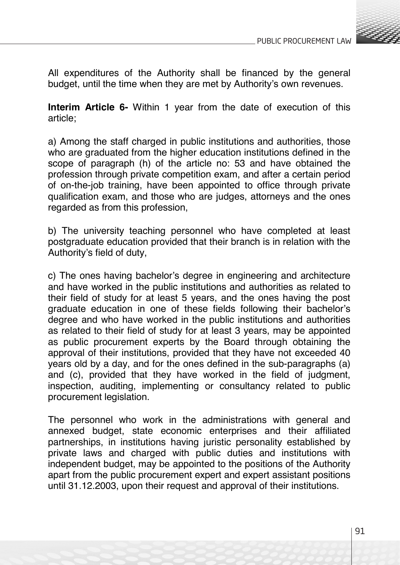

All expenditures of the Authority shall be financed by the general budget, until the time when they are met by Authority's own revenues.

**Interim Article 6-** Within 1 year from the date of execution of this article;

a) Among the staff charged in public institutions and authorities, those who are graduated from the higher education institutions defined in the scope of paragraph (h) of the article no: 53 and have obtained the profession through private competition exam, and after a certain period of on-the-job training, have been appointed to office through private qualification exam, and those who are judges, attorneys and the ones regarded as from this profession,

b) The university teaching personnel who have completed at least postgraduate education provided that their branch is in relation with the Authority's field of duty,

c) The ones having bachelor's degree in engineering and architecture and have worked in the public institutions and authorities as related to their field of study for at least 5 years, and the ones having the post graduate education in one of these fields following their bachelor's degree and who have worked in the public institutions and authorities as related to their field of study for at least 3 years, may be appointed as public procurement experts by the Board through obtaining the approval of their institutions, provided that they have not exceeded 40 years old by a day, and for the ones defined in the sub-paragraphs (a) and (c), provided that they have worked in the field of judgment, inspection, auditing, implementing or consultancy related to public procurement legislation.

The personnel who work in the administrations with general and annexed budget, state economic enterprises and their affiliated partnerships, in institutions having juristic personality established by private laws and charged with public duties and institutions with independent budget, may be appointed to the positions of the Authority apart from the public procurement expert and expert assistant positions until 31.12.2003, upon their request and approval of their institutions.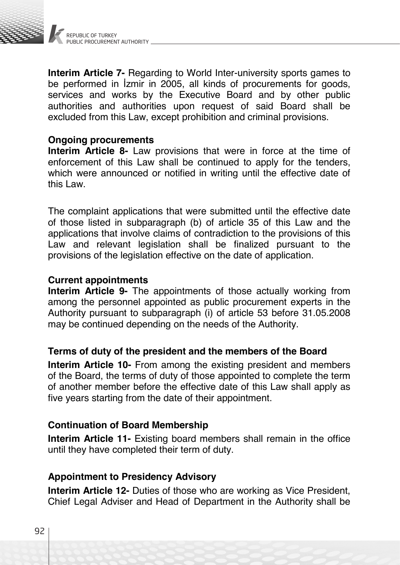

**Interim Article 7-** Regarding to World Inter-university sports games to be performed in İzmir in 2005, all kinds of procurements for goods, services and works by the Executive Board and by other public authorities and authorities upon request of said Board shall be excluded from this Law, except prohibition and criminal provisions.

## **Ongoing procurements**

**Interim Article 8-** Law provisions that were in force at the time of enforcement of this Law shall be continued to apply for the tenders, which were announced or notified in writing until the effective date of this Law.

The complaint applications that were submitted until the effective date of those listed in subparagraph (b) of article 35 of this Law and the applications that involve claims of contradiction to the provisions of this Law and relevant legislation shall be finalized pursuant to the provisions of the legislation effective on the date of application.

## **Current appointments**

**Interim Article 9-** The appointments of those actually working from among the personnel appointed as public procurement experts in the Authority pursuant to subparagraph (i) of article 53 before 31.05.2008 may be continued depending on the needs of the Authority.

# **Terms of duty of the president and the members of the Board**

**Interim Article 10-** From among the existing president and members of the Board, the terms of duty of those appointed to complete the term of another member before the effective date of this Law shall apply as five years starting from the date of their appointment.

# **Continuation of Board Membership**

**Interim Article 11-** Existing board members shall remain in the office until they have completed their term of duty.

# **Appointment to Presidency Advisory**

**Interim Article 12-** Duties of those who are working as Vice President, Chief Legal Adviser and Head of Department in the Authority shall be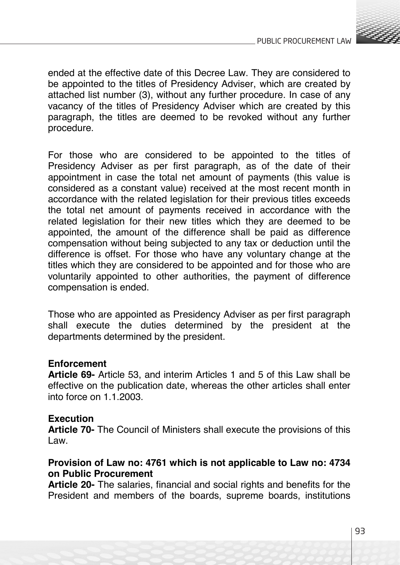

ended at the effective date of this Decree Law. They are considered to be appointed to the titles of Presidency Adviser, which are created by attached list number (3), without any further procedure. In case of any vacancy of the titles of Presidency Adviser which are created by this paragraph, the titles are deemed to be revoked without any further procedure.

For those who are considered to be appointed to the titles of Presidency Adviser as per first paragraph, as of the date of their appointment in case the total net amount of payments (this value is considered as a constant value) received at the most recent month in accordance with the related legislation for their previous titles exceeds the total net amount of payments received in accordance with the related legislation for their new titles which they are deemed to be appointed, the amount of the difference shall be paid as difference compensation without being subjected to any tax or deduction until the difference is offset. For those who have any voluntary change at the titles which they are considered to be appointed and for those who are voluntarily appointed to other authorities, the payment of difference compensation is ended.

Those who are appointed as Presidency Adviser as per first paragraph shall execute the duties determined by the president at the departments determined by the president.

# **Enforcement**

**Article 69-** Article 53, and interim Articles 1 and 5 of this Law shall be effective on the publication date, whereas the other articles shall enter into force on 1.1.2003.

# **Execution**

**Article 70-** The Council of Ministers shall execute the provisions of this Law.

# **Provision of Law no: 4761 which is not applicable to Law no: 4734 on Public Procurement**

**Article 20-** The salaries, financial and social rights and benefits for the President and members of the boards, supreme boards, institutions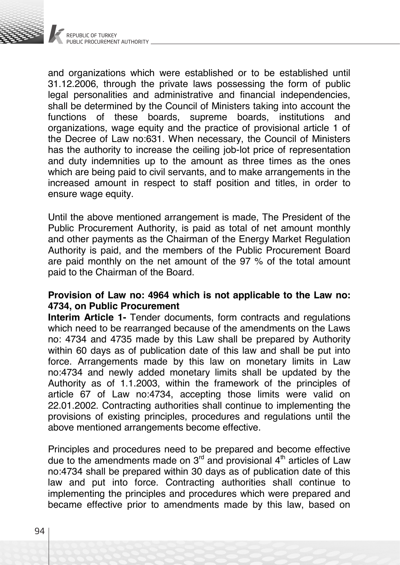

and organizations which were established or to be established until 31.12.2006, through the private laws possessing the form of public legal personalities and administrative and financial independencies, shall be determined by the Council of Ministers taking into account the functions of these boards. supreme boards, institutions and functions of these boards, supreme boards, organizations, wage equity and the practice of provisional article 1 of the Decree of Law no:631. When necessary, the Council of Ministers has the authority to increase the ceiling job-lot price of representation and duty indemnities up to the amount as three times as the ones which are being paid to civil servants, and to make arrangements in the increased amount in respect to staff position and titles, in order to ensure wage equity.

Until the above mentioned arrangement is made, The President of the Public Procurement Authority, is paid as total of net amount monthly and other payments as the Chairman of the Energy Market Regulation Authority is paid, and the members of the Public Procurement Board are paid monthly on the net amount of the 97 % of the total amount paid to the Chairman of the Board.

## **Provision of Law no: 4964 which is not applicable to the Law no: 4734, on Public Procurement**

**Interim Article 1-** Tender documents, form contracts and regulations which need to be rearranged because of the amendments on the Laws no: 4734 and 4735 made by this Law shall be prepared by Authority within 60 days as of publication date of this law and shall be put into force. Arrangements made by this law on monetary limits in Law no:4734 and newly added monetary limits shall be updated by the Authority as of 1.1.2003, within the framework of the principles of article 67 of Law no:4734, accepting those limits were valid on 22.01.2002. Contracting authorities shall continue to implementing the provisions of existing principles, procedures and regulations until the above mentioned arrangements become effective.

Principles and procedures need to be prepared and become effective due to the amendments made on  $3<sup>rd</sup>$  and provisional  $4<sup>th</sup>$  articles of Law no:4734 shall be prepared within 30 days as of publication date of this law and put into force. Contracting authorities shall continue to implementing the principles and procedures which were prepared and became effective prior to amendments made by this law, based on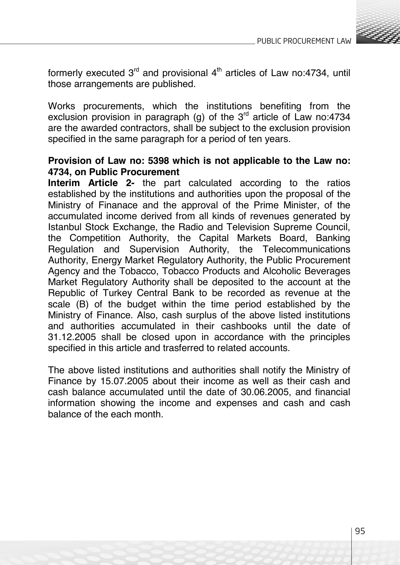

formerly executed  $3<sup>rd</sup>$  and provisional  $4<sup>th</sup>$  articles of Law no:4734, until those arrangements are published.

Works procurements, which the institutions benefiting from the exclusion provision in paragraph (g) of the  $3<sup>rd</sup>$  article of Law no:4734 are the awarded contractors, shall be subject to the exclusion provision specified in the same paragraph for a period of ten years.

## **Provision of Law no: 5398 which is not applicable to the Law no: 4734, on Public Procurement**

**Interim Article 2-** the part calculated according to the ratios established by the institutions and authorities upon the proposal of the Ministry of Finanace and the approval of the Prime Minister, of the accumulated income derived from all kinds of revenues generated by Istanbul Stock Exchange, the Radio and Television Supreme Council, the Competition Authority, the Capital Markets Board, Banking Regulation and Supervision Authority, the Telecommunications Authority, Energy Market Regulatory Authority, the Public Procurement Agency and the Tobacco, Tobacco Products and Alcoholic Beverages Market Regulatory Authority shall be deposited to the account at the Republic of Turkey Central Bank to be recorded as revenue at the scale (B) of the budget within the time period established by the Ministry of Finance. Also, cash surplus of the above listed institutions and authorities accumulated in their cashbooks until the date of 31.12.2005 shall be closed upon in accordance with the principles specified in this article and trasferred to related accounts.

The above listed institutions and authorities shall notify the Ministry of Finance by 15.07.2005 about their income as well as their cash and cash balance accumulated until the date of 30.06.2005, and financial information showing the income and expenses and cash and cash balance of the each month.